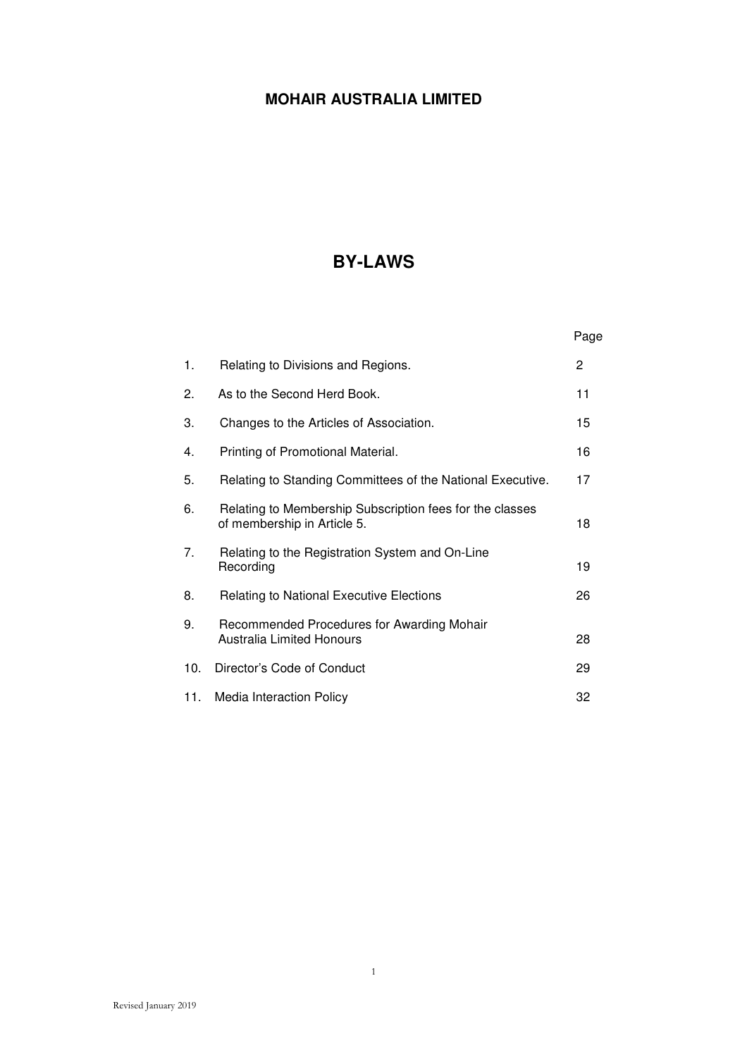# **BY-LAWS**

|     |                                                                                         | Page |
|-----|-----------------------------------------------------------------------------------------|------|
| 1.  | Relating to Divisions and Regions.                                                      | 2    |
| 2.  | As to the Second Herd Book.                                                             | 11   |
| 3.  | Changes to the Articles of Association.                                                 | 15   |
| 4.  | Printing of Promotional Material.                                                       | 16   |
| 5.  | Relating to Standing Committees of the National Executive.                              | 17   |
| 6.  | Relating to Membership Subscription fees for the classes<br>of membership in Article 5. | 18   |
| 7.  | Relating to the Registration System and On-Line<br>Recording                            | 19   |
| 8.  | <b>Relating to National Executive Elections</b>                                         | 26   |
| 9.  | Recommended Procedures for Awarding Mohair<br><b>Australia Limited Honours</b>          | 28   |
| 10. | Director's Code of Conduct                                                              | 29   |
| 11. | <b>Media Interaction Policy</b>                                                         | 32   |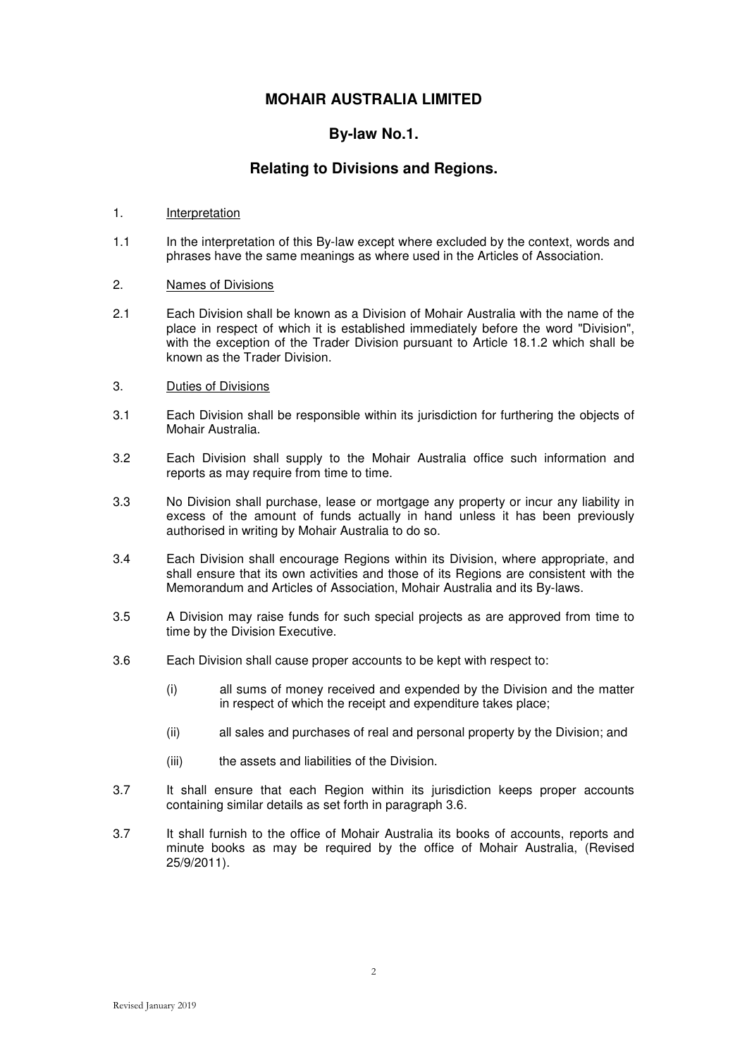### **By-law No.1.**

## **Relating to Divisions and Regions.**

### 1. Interpretation

1.1 In the interpretation of this By-law except where excluded by the context, words and phrases have the same meanings as where used in the Articles of Association.

### 2. Names of Divisions

2.1 Each Division shall be known as a Division of Mohair Australia with the name of the place in respect of which it is established immediately before the word "Division", with the exception of the Trader Division pursuant to Article 18.1.2 which shall be known as the Trader Division.

### 3. Duties of Divisions

- 3.1 Each Division shall be responsible within its jurisdiction for furthering the objects of Mohair Australia.
- 3.2 Each Division shall supply to the Mohair Australia office such information and reports as may require from time to time.
- 3.3 No Division shall purchase, lease or mortgage any property or incur any liability in excess of the amount of funds actually in hand unless it has been previously authorised in writing by Mohair Australia to do so.
- 3.4 Each Division shall encourage Regions within its Division, where appropriate, and shall ensure that its own activities and those of its Regions are consistent with the Memorandum and Articles of Association, Mohair Australia and its By-laws.
- 3.5 A Division may raise funds for such special projects as are approved from time to time by the Division Executive.
- 3.6 Each Division shall cause proper accounts to be kept with respect to:
	- (i) all sums of money received and expended by the Division and the matter in respect of which the receipt and expenditure takes place;
	- (ii) all sales and purchases of real and personal property by the Division; and
	- (iii) the assets and liabilities of the Division.
- 3.7 It shall ensure that each Region within its jurisdiction keeps proper accounts containing similar details as set forth in paragraph 3.6.
- 3.7 It shall furnish to the office of Mohair Australia its books of accounts, reports and minute books as may be required by the office of Mohair Australia, (Revised 25/9/2011).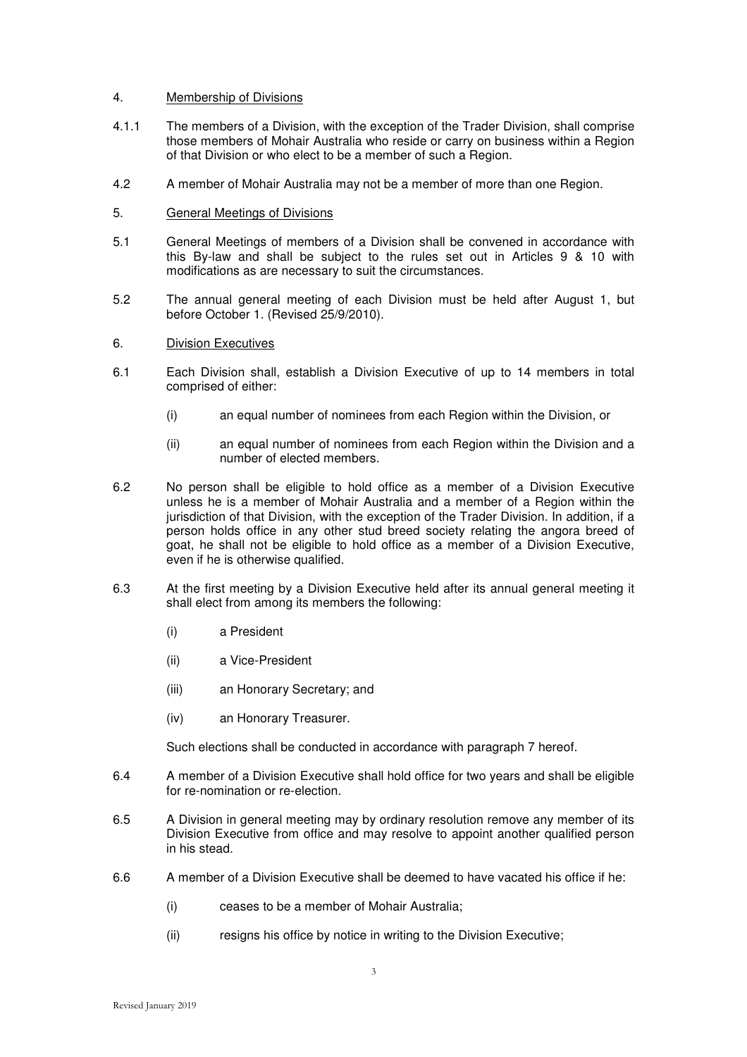### 4. Membership of Divisions

- 4.1.1 The members of a Division, with the exception of the Trader Division, shall comprise those members of Mohair Australia who reside or carry on business within a Region of that Division or who elect to be a member of such a Region.
- 4.2 A member of Mohair Australia may not be a member of more than one Region.
- 5. General Meetings of Divisions
- 5.1 General Meetings of members of a Division shall be convened in accordance with this By-law and shall be subject to the rules set out in Articles 9 & 10 with modifications as are necessary to suit the circumstances.
- 5.2 The annual general meeting of each Division must be held after August 1, but before October 1. (Revised 25/9/2010).
- 6. Division Executives
- 6.1 Each Division shall, establish a Division Executive of up to 14 members in total comprised of either:
	- (i) an equal number of nominees from each Region within the Division, or
	- (ii) an equal number of nominees from each Region within the Division and a number of elected members.
- 6.2 No person shall be eligible to hold office as a member of a Division Executive unless he is a member of Mohair Australia and a member of a Region within the jurisdiction of that Division, with the exception of the Trader Division. In addition, if a person holds office in any other stud breed society relating the angora breed of goat, he shall not be eligible to hold office as a member of a Division Executive, even if he is otherwise qualified.
- 6.3 At the first meeting by a Division Executive held after its annual general meeting it shall elect from among its members the following:
	- (i) a President
	- (ii) a Vice-President
	- (iii) an Honorary Secretary; and
	- (iv) an Honorary Treasurer.

Such elections shall be conducted in accordance with paragraph 7 hereof.

- 6.4 A member of a Division Executive shall hold office for two years and shall be eligible for re-nomination or re-election.
- 6.5 A Division in general meeting may by ordinary resolution remove any member of its Division Executive from office and may resolve to appoint another qualified person in his stead.
- 6.6 A member of a Division Executive shall be deemed to have vacated his office if he:
	- (i) ceases to be a member of Mohair Australia;
	- (ii) resigns his office by notice in writing to the Division Executive;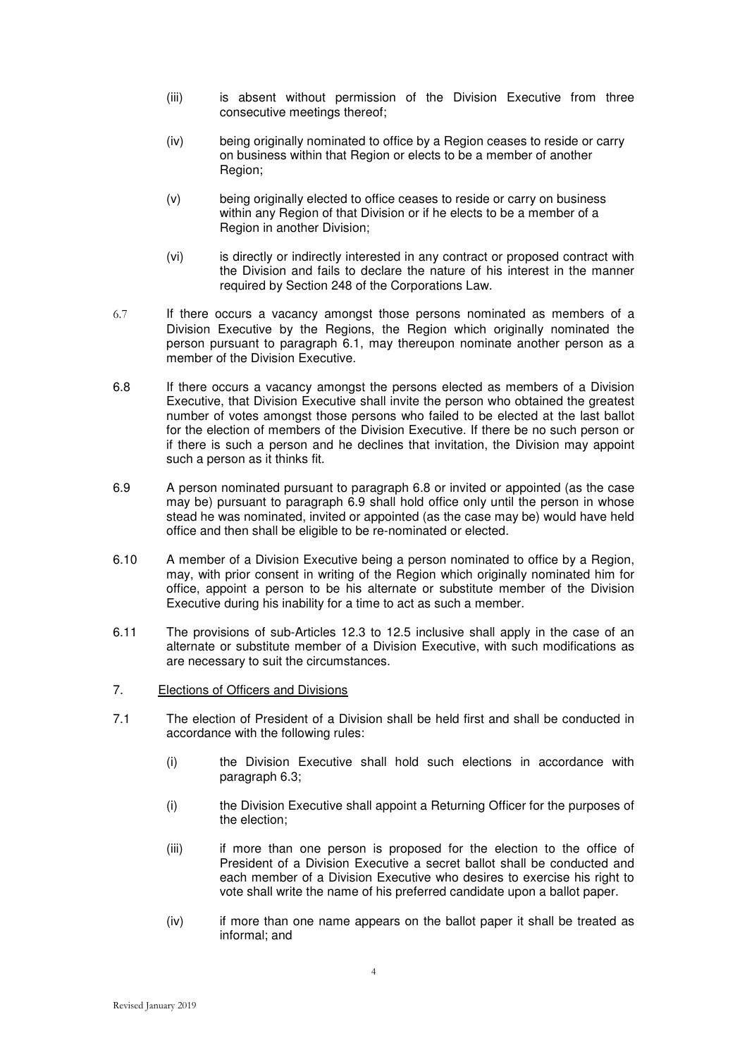- (iii) is absent without permission of the Division Executive from three consecutive meetings thereof;
- (iv) being originally nominated to office by a Region ceases to reside or carry on business within that Region or elects to be a member of another Region;
- (v) being originally elected to office ceases to reside or carry on business within any Region of that Division or if he elects to be a member of a Region in another Division;
- (vi) is directly or indirectly interested in any contract or proposed contract with the Division and fails to declare the nature of his interest in the manner required by Section 248 of the Corporations Law.
- 6.7 If there occurs a vacancy amongst those persons nominated as members of a Division Executive by the Regions, the Region which originally nominated the person pursuant to paragraph 6.1, may thereupon nominate another person as a member of the Division Executive.
- 6.8 If there occurs a vacancy amongst the persons elected as members of a Division Executive, that Division Executive shall invite the person who obtained the greatest number of votes amongst those persons who failed to be elected at the last ballot for the election of members of the Division Executive. If there be no such person or if there is such a person and he declines that invitation, the Division may appoint such a person as it thinks fit.
- 6.9 A person nominated pursuant to paragraph 6.8 or invited or appointed (as the case may be) pursuant to paragraph 6.9 shall hold office only until the person in whose stead he was nominated, invited or appointed (as the case may be) would have held office and then shall be eligible to be re-nominated or elected.
- 6.10 A member of a Division Executive being a person nominated to office by a Region, may, with prior consent in writing of the Region which originally nominated him for office, appoint a person to be his alternate or substitute member of the Division Executive during his inability for a time to act as such a member.
- 6.11 The provisions of sub-Articles 12.3 to 12.5 inclusive shall apply in the case of an alternate or substitute member of a Division Executive, with such modifications as are necessary to suit the circumstances.
- 7. Elections of Officers and Divisions
- 7.1 The election of President of a Division shall be held first and shall be conducted in accordance with the following rules:
	- (i) the Division Executive shall hold such elections in accordance with paragraph 6.3;
	- (i) the Division Executive shall appoint a Returning Officer for the purposes of the election;
	- (iii) if more than one person is proposed for the election to the office of President of a Division Executive a secret ballot shall be conducted and each member of a Division Executive who desires to exercise his right to vote shall write the name of his preferred candidate upon a ballot paper.
	- (iv) if more than one name appears on the ballot paper it shall be treated as informal; and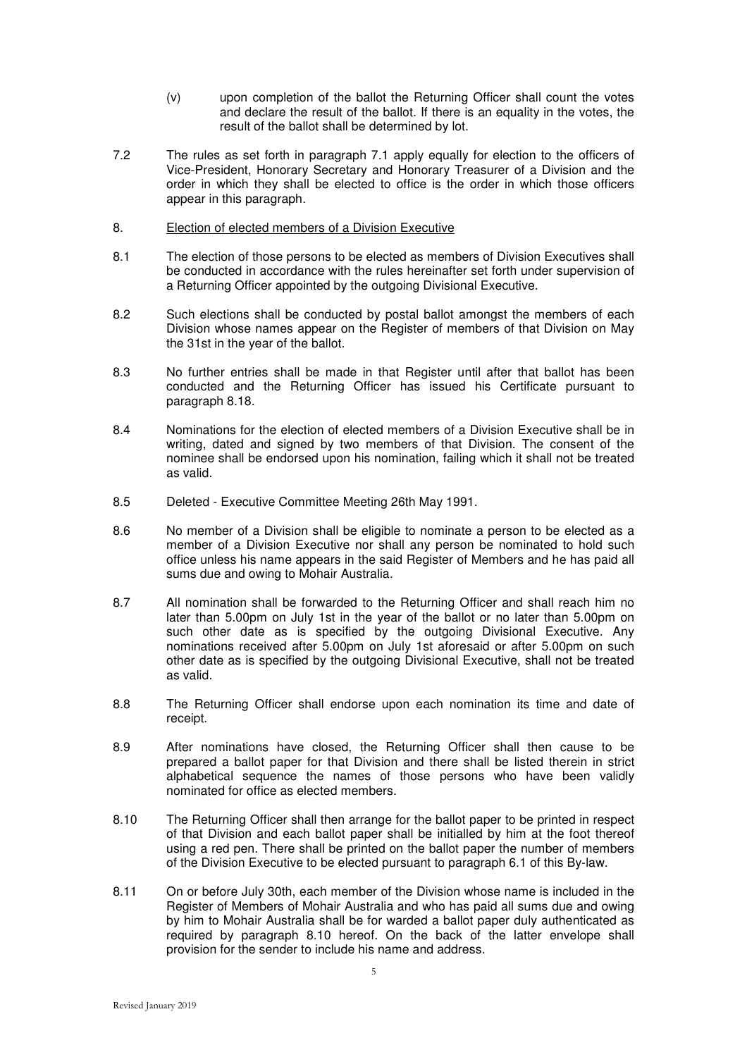- (v) upon completion of the ballot the Returning Officer shall count the votes and declare the result of the ballot. If there is an equality in the votes, the result of the ballot shall be determined by lot.
- 7.2 The rules as set forth in paragraph 7.1 apply equally for election to the officers of Vice-President, Honorary Secretary and Honorary Treasurer of a Division and the order in which they shall be elected to office is the order in which those officers appear in this paragraph.
- 8. Election of elected members of a Division Executive
- 8.1 The election of those persons to be elected as members of Division Executives shall be conducted in accordance with the rules hereinafter set forth under supervision of a Returning Officer appointed by the outgoing Divisional Executive.
- 8.2 Such elections shall be conducted by postal ballot amongst the members of each Division whose names appear on the Register of members of that Division on May the 31st in the year of the ballot.
- 8.3 No further entries shall be made in that Register until after that ballot has been conducted and the Returning Officer has issued his Certificate pursuant to paragraph 8.18.
- 8.4 Nominations for the election of elected members of a Division Executive shall be in writing, dated and signed by two members of that Division. The consent of the nominee shall be endorsed upon his nomination, failing which it shall not be treated as valid.
- 8.5 Deleted Executive Committee Meeting 26th May 1991.
- 8.6 No member of a Division shall be eligible to nominate a person to be elected as a member of a Division Executive nor shall any person be nominated to hold such office unless his name appears in the said Register of Members and he has paid all sums due and owing to Mohair Australia.
- 8.7 All nomination shall be forwarded to the Returning Officer and shall reach him no later than 5.00pm on July 1st in the year of the ballot or no later than 5.00pm on such other date as is specified by the outgoing Divisional Executive. Any nominations received after 5.00pm on July 1st aforesaid or after 5.00pm on such other date as is specified by the outgoing Divisional Executive, shall not be treated as valid.
- 8.8 The Returning Officer shall endorse upon each nomination its time and date of receipt.
- 8.9 After nominations have closed, the Returning Officer shall then cause to be prepared a ballot paper for that Division and there shall be listed therein in strict alphabetical sequence the names of those persons who have been validly nominated for office as elected members.
- 8.10 The Returning Officer shall then arrange for the ballot paper to be printed in respect of that Division and each ballot paper shall be initialled by him at the foot thereof using a red pen. There shall be printed on the ballot paper the number of members of the Division Executive to be elected pursuant to paragraph 6.1 of this By-law.
- 8.11 On or before July 30th, each member of the Division whose name is included in the Register of Members of Mohair Australia and who has paid all sums due and owing by him to Mohair Australia shall be for warded a ballot paper duly authenticated as required by paragraph 8.10 hereof. On the back of the latter envelope shall provision for the sender to include his name and address.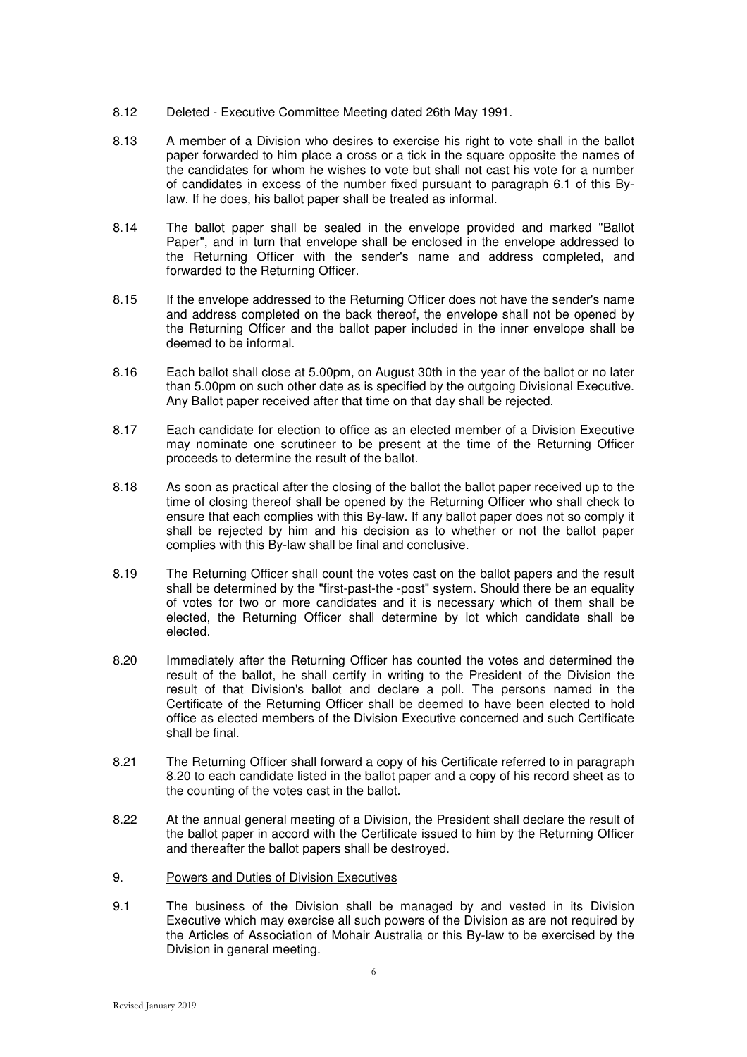- 8.12 Deleted Executive Committee Meeting dated 26th May 1991.
- 8.13 A member of a Division who desires to exercise his right to vote shall in the ballot paper forwarded to him place a cross or a tick in the square opposite the names of the candidates for whom he wishes to vote but shall not cast his vote for a number of candidates in excess of the number fixed pursuant to paragraph 6.1 of this Bylaw. If he does, his ballot paper shall be treated as informal.
- 8.14 The ballot paper shall be sealed in the envelope provided and marked "Ballot Paper", and in turn that envelope shall be enclosed in the envelope addressed to the Returning Officer with the sender's name and address completed, and forwarded to the Returning Officer.
- 8.15 If the envelope addressed to the Returning Officer does not have the sender's name and address completed on the back thereof, the envelope shall not be opened by the Returning Officer and the ballot paper included in the inner envelope shall be deemed to be informal.
- 8.16 Each ballot shall close at 5.00pm, on August 30th in the year of the ballot or no later than 5.00pm on such other date as is specified by the outgoing Divisional Executive. Any Ballot paper received after that time on that day shall be rejected.
- 8.17 Each candidate for election to office as an elected member of a Division Executive may nominate one scrutineer to be present at the time of the Returning Officer proceeds to determine the result of the ballot.
- 8.18 As soon as practical after the closing of the ballot the ballot paper received up to the time of closing thereof shall be opened by the Returning Officer who shall check to ensure that each complies with this By-law. If any ballot paper does not so comply it shall be rejected by him and his decision as to whether or not the ballot paper complies with this By-law shall be final and conclusive.
- 8.19 The Returning Officer shall count the votes cast on the ballot papers and the result shall be determined by the "first-past-the -post" system. Should there be an equality of votes for two or more candidates and it is necessary which of them shall be elected, the Returning Officer shall determine by lot which candidate shall be elected.
- 8.20 Immediately after the Returning Officer has counted the votes and determined the result of the ballot, he shall certify in writing to the President of the Division the result of that Division's ballot and declare a poll. The persons named in the Certificate of the Returning Officer shall be deemed to have been elected to hold office as elected members of the Division Executive concerned and such Certificate shall be final.
- 8.21 The Returning Officer shall forward a copy of his Certificate referred to in paragraph 8.20 to each candidate listed in the ballot paper and a copy of his record sheet as to the counting of the votes cast in the ballot.
- 8.22 At the annual general meeting of a Division, the President shall declare the result of the ballot paper in accord with the Certificate issued to him by the Returning Officer and thereafter the ballot papers shall be destroyed.
- 9. Powers and Duties of Division Executives
- 9.1 The business of the Division shall be managed by and vested in its Division Executive which may exercise all such powers of the Division as are not required by the Articles of Association of Mohair Australia or this By-law to be exercised by the Division in general meeting.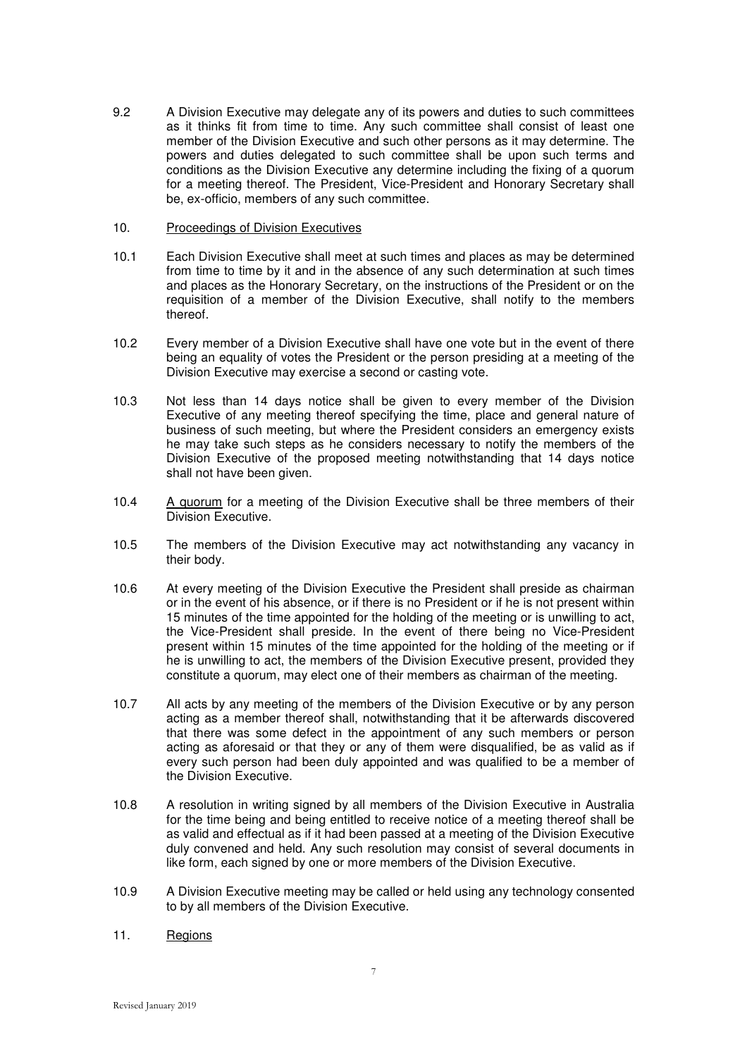- 9.2 A Division Executive may delegate any of its powers and duties to such committees as it thinks fit from time to time. Any such committee shall consist of least one member of the Division Executive and such other persons as it may determine. The powers and duties delegated to such committee shall be upon such terms and conditions as the Division Executive any determine including the fixing of a quorum for a meeting thereof. The President, Vice-President and Honorary Secretary shall be, ex-officio, members of any such committee.
- 10. Proceedings of Division Executives
- 10.1 Each Division Executive shall meet at such times and places as may be determined from time to time by it and in the absence of any such determination at such times and places as the Honorary Secretary, on the instructions of the President or on the requisition of a member of the Division Executive, shall notify to the members thereof.
- 10.2 Every member of a Division Executive shall have one vote but in the event of there being an equality of votes the President or the person presiding at a meeting of the Division Executive may exercise a second or casting vote.
- 10.3 Not less than 14 days notice shall be given to every member of the Division Executive of any meeting thereof specifying the time, place and general nature of business of such meeting, but where the President considers an emergency exists he may take such steps as he considers necessary to notify the members of the Division Executive of the proposed meeting notwithstanding that 14 days notice shall not have been given.
- 10.4 A quorum for a meeting of the Division Executive shall be three members of their Division Executive.
- 10.5 The members of the Division Executive may act notwithstanding any vacancy in their body.
- 10.6 At every meeting of the Division Executive the President shall preside as chairman or in the event of his absence, or if there is no President or if he is not present within 15 minutes of the time appointed for the holding of the meeting or is unwilling to act, the Vice-President shall preside. In the event of there being no Vice-President present within 15 minutes of the time appointed for the holding of the meeting or if he is unwilling to act, the members of the Division Executive present, provided they constitute a quorum, may elect one of their members as chairman of the meeting.
- 10.7 All acts by any meeting of the members of the Division Executive or by any person acting as a member thereof shall, notwithstanding that it be afterwards discovered that there was some defect in the appointment of any such members or person acting as aforesaid or that they or any of them were disqualified, be as valid as if every such person had been duly appointed and was qualified to be a member of the Division Executive.
- 10.8 A resolution in writing signed by all members of the Division Executive in Australia for the time being and being entitled to receive notice of a meeting thereof shall be as valid and effectual as if it had been passed at a meeting of the Division Executive duly convened and held. Any such resolution may consist of several documents in like form, each signed by one or more members of the Division Executive.
- 10.9 A Division Executive meeting may be called or held using any technology consented to by all members of the Division Executive.
- 11. Regions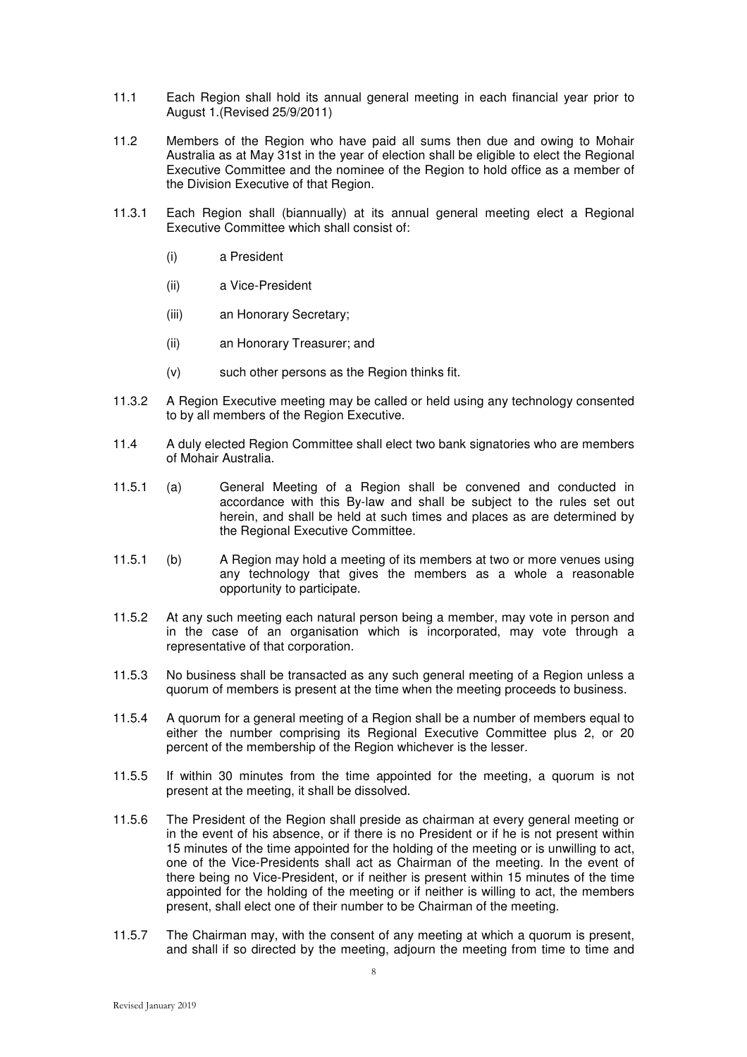- 11.1 Each Region shall hold its annual general meeting in each financial year prior to August 1.(Revised 25/9/2011)
- 11.2 Members of the Region who have paid all sums then due and owing to Mohair Australia as at May 31st in the year of election shall be eligible to elect the Regional Executive Committee and the nominee of the Region to hold office as a member of the Division Executive of that Region.
- 11.3.1 Each Region shall (biannually) at its annual general meeting elect a Regional Executive Committee which shall consist of:
	- (i) a President
	- (ii) a Vice-President
	- (iii) an Honorary Secretary;
	- (ii) an Honorary Treasurer; and
	- (v) such other persons as the Region thinks fit.
- 11.3.2 A Region Executive meeting may be called or held using any technology consented to by all members of the Region Executive.
- 11.4 A duly elected Region Committee shall elect two bank signatories who are members of Mohair Australia.
- 11.5.1 (a) General Meeting of a Region shall be convened and conducted in accordance with this By-law and shall be subject to the rules set out herein, and shall be held at such times and places as are determined by the Regional Executive Committee.
- 11.5.1 (b) A Region may hold a meeting of its members at two or more venues using any technology that gives the members as a whole a reasonable opportunity to participate.
- 11.5.2 At any such meeting each natural person being a member, may vote in person and in the case of an organisation which is incorporated, may vote through a representative of that corporation.
- 11.5.3 No business shall be transacted as any such general meeting of a Region unless a quorum of members is present at the time when the meeting proceeds to business.
- 11.5.4 A quorum for a general meeting of a Region shall be a number of members equal to either the number comprising its Regional Executive Committee plus 2, or 20 percent of the membership of the Region whichever is the lesser.
- 11.5.5 If within 30 minutes from the time appointed for the meeting, a quorum is not present at the meeting, it shall be dissolved.
- 11.5.6 The President of the Region shall preside as chairman at every general meeting or in the event of his absence, or if there is no President or if he is not present within 15 minutes of the time appointed for the holding of the meeting or is unwilling to act, one of the Vice-Presidents shall act as Chairman of the meeting. In the event of there being no Vice-President, or if neither is present within 15 minutes of the time appointed for the holding of the meeting or if neither is willing to act, the members present, shall elect one of their number to be Chairman of the meeting.
- 11.5.7 The Chairman may, with the consent of any meeting at which a quorum is present, and shall if so directed by the meeting, adjourn the meeting from time to time and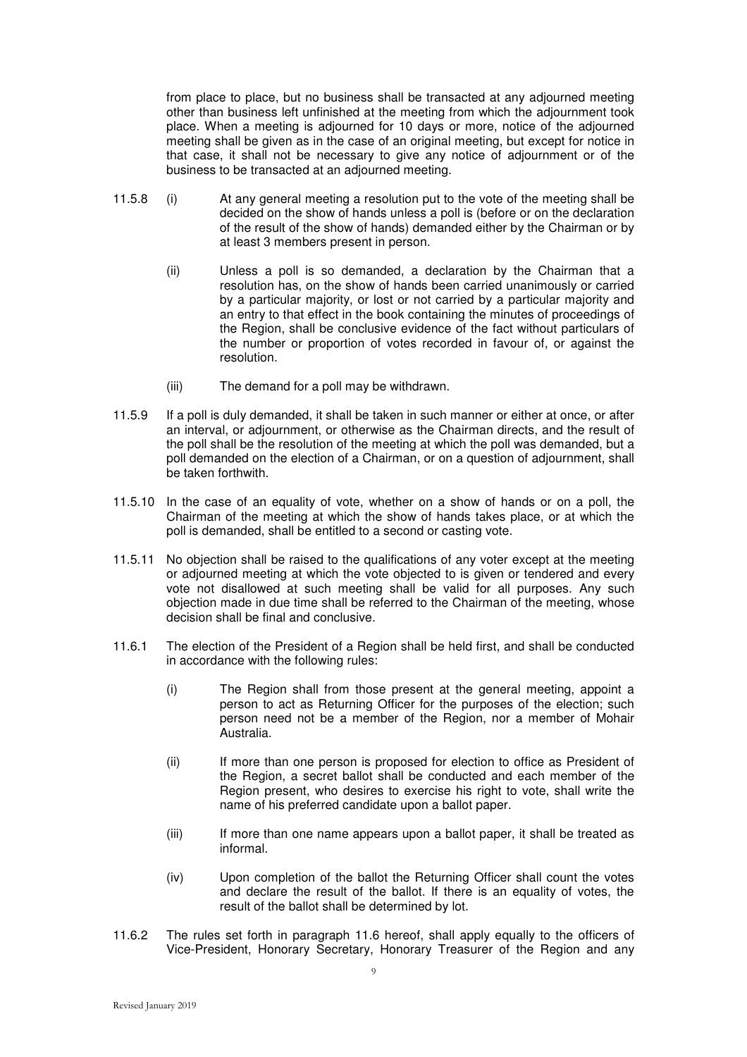from place to place, but no business shall be transacted at any adjourned meeting other than business left unfinished at the meeting from which the adjournment took place. When a meeting is adjourned for 10 days or more, notice of the adjourned meeting shall be given as in the case of an original meeting, but except for notice in that case, it shall not be necessary to give any notice of adjournment or of the business to be transacted at an adjourned meeting.

- 11.5.8 (i) At any general meeting a resolution put to the vote of the meeting shall be decided on the show of hands unless a poll is (before or on the declaration of the result of the show of hands) demanded either by the Chairman or by at least 3 members present in person.
	- (ii) Unless a poll is so demanded, a declaration by the Chairman that a resolution has, on the show of hands been carried unanimously or carried by a particular majority, or lost or not carried by a particular majority and an entry to that effect in the book containing the minutes of proceedings of the Region, shall be conclusive evidence of the fact without particulars of the number or proportion of votes recorded in favour of, or against the resolution.
	- (iii) The demand for a poll may be withdrawn.
- 11.5.9 If a poll is duly demanded, it shall be taken in such manner or either at once, or after an interval, or adjournment, or otherwise as the Chairman directs, and the result of the poll shall be the resolution of the meeting at which the poll was demanded, but a poll demanded on the election of a Chairman, or on a question of adjournment, shall be taken forthwith.
- 11.5.10 In the case of an equality of vote, whether on a show of hands or on a poll, the Chairman of the meeting at which the show of hands takes place, or at which the poll is demanded, shall be entitled to a second or casting vote.
- 11.5.11 No objection shall be raised to the qualifications of any voter except at the meeting or adjourned meeting at which the vote objected to is given or tendered and every vote not disallowed at such meeting shall be valid for all purposes. Any such objection made in due time shall be referred to the Chairman of the meeting, whose decision shall be final and conclusive.
- 11.6.1 The election of the President of a Region shall be held first, and shall be conducted in accordance with the following rules:
	- (i) The Region shall from those present at the general meeting, appoint a person to act as Returning Officer for the purposes of the election; such person need not be a member of the Region, nor a member of Mohair Australia.
	- (ii) If more than one person is proposed for election to office as President of the Region, a secret ballot shall be conducted and each member of the Region present, who desires to exercise his right to vote, shall write the name of his preferred candidate upon a ballot paper.
	- (iii) If more than one name appears upon a ballot paper, it shall be treated as informal.
	- (iv) Upon completion of the ballot the Returning Officer shall count the votes and declare the result of the ballot. If there is an equality of votes, the result of the ballot shall be determined by lot.
- 11.6.2 The rules set forth in paragraph 11.6 hereof, shall apply equally to the officers of Vice-President, Honorary Secretary, Honorary Treasurer of the Region and any

9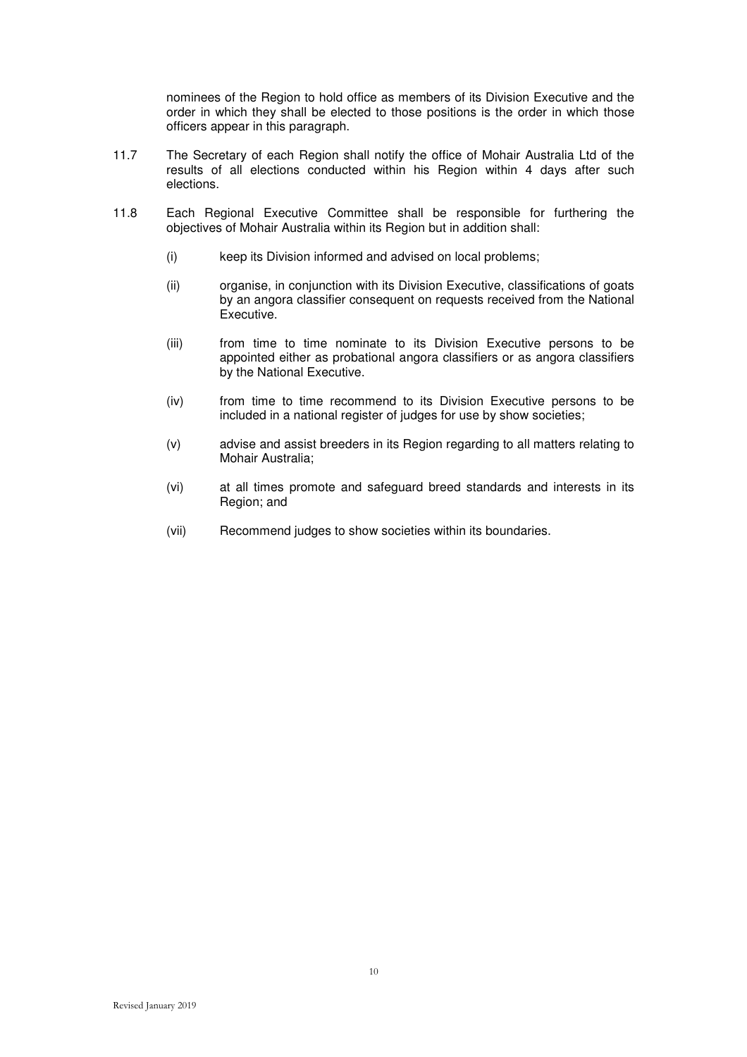nominees of the Region to hold office as members of its Division Executive and the order in which they shall be elected to those positions is the order in which those officers appear in this paragraph.

- 11.7 The Secretary of each Region shall notify the office of Mohair Australia Ltd of the results of all elections conducted within his Region within 4 days after such elections.
- 11.8 Each Regional Executive Committee shall be responsible for furthering the objectives of Mohair Australia within its Region but in addition shall:
	- (i) keep its Division informed and advised on local problems;
	- (ii) organise, in conjunction with its Division Executive, classifications of goats by an angora classifier consequent on requests received from the National Executive.
	- (iii) from time to time nominate to its Division Executive persons to be appointed either as probational angora classifiers or as angora classifiers by the National Executive.
	- (iv) from time to time recommend to its Division Executive persons to be included in a national register of judges for use by show societies;
	- (v) advise and assist breeders in its Region regarding to all matters relating to Mohair Australia;
	- (vi) at all times promote and safeguard breed standards and interests in its Region; and
	- (vii) Recommend judges to show societies within its boundaries.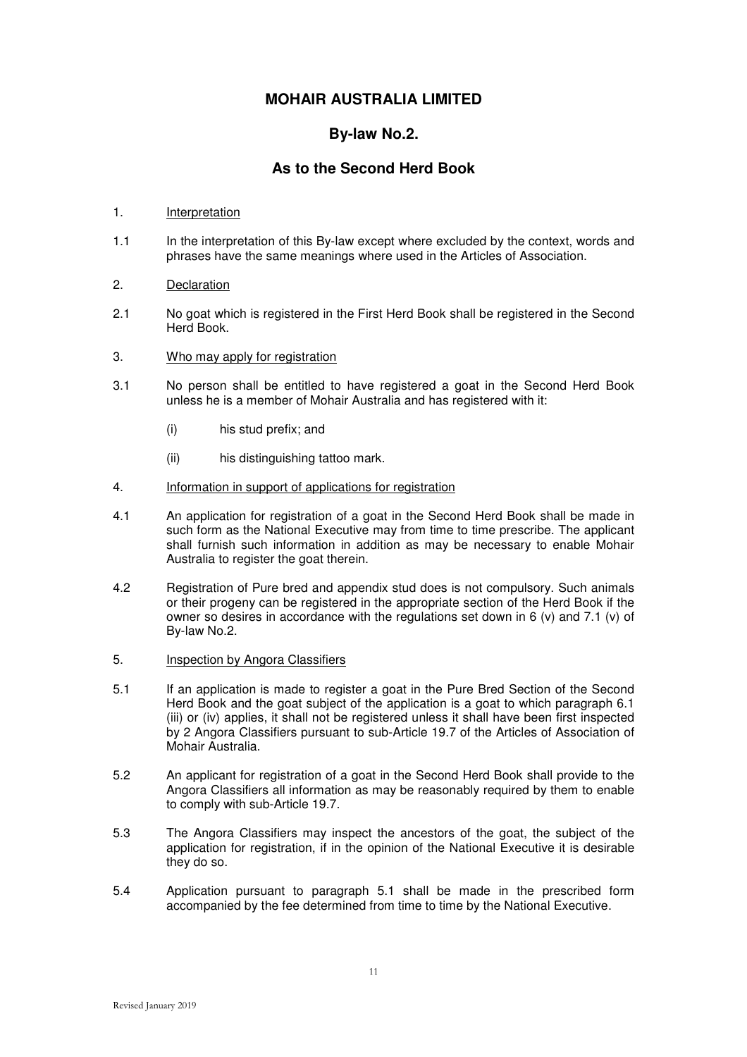## **By-law No.2.**

## **As to the Second Herd Book**

### 1. Interpretation

1.1 In the interpretation of this By-law except where excluded by the context, words and phrases have the same meanings where used in the Articles of Association.

### 2. Declaration

- 2.1 No goat which is registered in the First Herd Book shall be registered in the Second Herd Book.
- 3. Who may apply for registration
- 3.1 No person shall be entitled to have registered a goat in the Second Herd Book unless he is a member of Mohair Australia and has registered with it:
	- (i) his stud prefix; and
	- (ii) his distinguishing tattoo mark.
- 4. Information in support of applications for registration
- 4.1 An application for registration of a goat in the Second Herd Book shall be made in such form as the National Executive may from time to time prescribe. The applicant shall furnish such information in addition as may be necessary to enable Mohair Australia to register the goat therein.
- 4.2 Registration of Pure bred and appendix stud does is not compulsory. Such animals or their progeny can be registered in the appropriate section of the Herd Book if the owner so desires in accordance with the regulations set down in 6 (v) and 7.1 (v) of By-law No.2.
- 5. Inspection by Angora Classifiers
- 5.1 If an application is made to register a goat in the Pure Bred Section of the Second Herd Book and the goat subject of the application is a goat to which paragraph 6.1 (iii) or (iv) applies, it shall not be registered unless it shall have been first inspected by 2 Angora Classifiers pursuant to sub-Article 19.7 of the Articles of Association of Mohair Australia.
- 5.2 An applicant for registration of a goat in the Second Herd Book shall provide to the Angora Classifiers all information as may be reasonably required by them to enable to comply with sub-Article 19.7.
- 5.3 The Angora Classifiers may inspect the ancestors of the goat, the subject of the application for registration, if in the opinion of the National Executive it is desirable they do so.
- 5.4 Application pursuant to paragraph 5.1 shall be made in the prescribed form accompanied by the fee determined from time to time by the National Executive.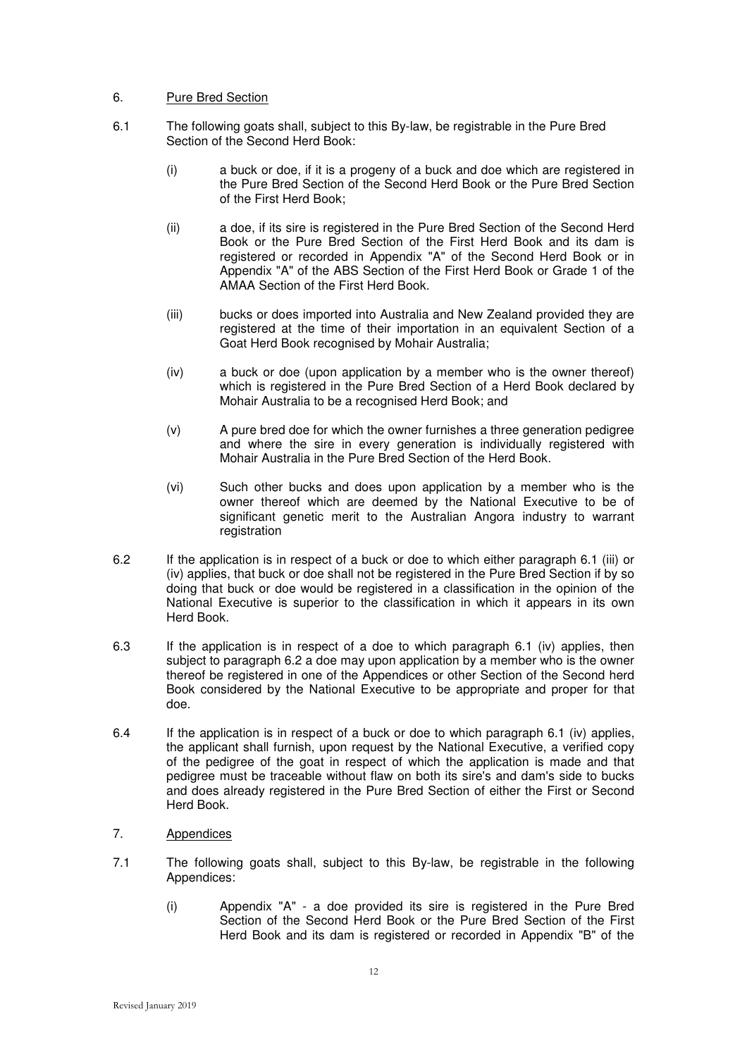### 6. Pure Bred Section

- 6.1 The following goats shall, subject to this By-law, be registrable in the Pure Bred Section of the Second Herd Book:
	- (i) a buck or doe, if it is a progeny of a buck and doe which are registered in the Pure Bred Section of the Second Herd Book or the Pure Bred Section of the First Herd Book;
	- (ii) a doe, if its sire is registered in the Pure Bred Section of the Second Herd Book or the Pure Bred Section of the First Herd Book and its dam is registered or recorded in Appendix "A" of the Second Herd Book or in Appendix "A" of the ABS Section of the First Herd Book or Grade 1 of the AMAA Section of the First Herd Book.
	- (iii) bucks or does imported into Australia and New Zealand provided they are registered at the time of their importation in an equivalent Section of a Goat Herd Book recognised by Mohair Australia;
	- (iv) a buck or doe (upon application by a member who is the owner thereof) which is registered in the Pure Bred Section of a Herd Book declared by Mohair Australia to be a recognised Herd Book; and
	- (v) A pure bred doe for which the owner furnishes a three generation pedigree and where the sire in every generation is individually registered with Mohair Australia in the Pure Bred Section of the Herd Book.
	- (vi) Such other bucks and does upon application by a member who is the owner thereof which are deemed by the National Executive to be of significant genetic merit to the Australian Angora industry to warrant registration
- 6.2 If the application is in respect of a buck or doe to which either paragraph 6.1 (iii) or (iv) applies, that buck or doe shall not be registered in the Pure Bred Section if by so doing that buck or doe would be registered in a classification in the opinion of the National Executive is superior to the classification in which it appears in its own Herd Book.
- 6.3 If the application is in respect of a doe to which paragraph 6.1 (iv) applies, then subject to paragraph 6.2 a doe may upon application by a member who is the owner thereof be registered in one of the Appendices or other Section of the Second herd Book considered by the National Executive to be appropriate and proper for that doe.
- 6.4 If the application is in respect of a buck or doe to which paragraph 6.1 (iv) applies, the applicant shall furnish, upon request by the National Executive, a verified copy of the pedigree of the goat in respect of which the application is made and that pedigree must be traceable without flaw on both its sire's and dam's side to bucks and does already registered in the Pure Bred Section of either the First or Second Herd Book.

### 7. Appendices

- 7.1 The following goats shall, subject to this By-law, be registrable in the following Appendices:
	- (i) Appendix "A" a doe provided its sire is registered in the Pure Bred Section of the Second Herd Book or the Pure Bred Section of the First Herd Book and its dam is registered or recorded in Appendix "B" of the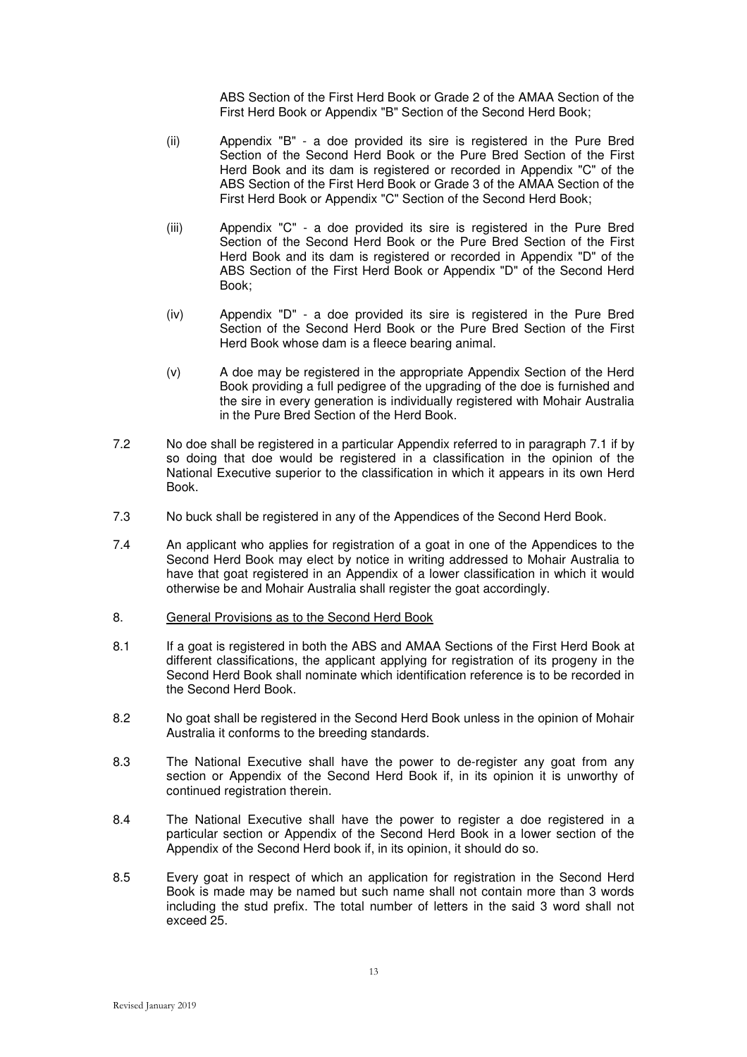ABS Section of the First Herd Book or Grade 2 of the AMAA Section of the First Herd Book or Appendix "B" Section of the Second Herd Book;

- (ii) Appendix "B" a doe provided its sire is registered in the Pure Bred Section of the Second Herd Book or the Pure Bred Section of the First Herd Book and its dam is registered or recorded in Appendix "C" of the ABS Section of the First Herd Book or Grade 3 of the AMAA Section of the First Herd Book or Appendix "C" Section of the Second Herd Book;
- (iii) Appendix "C" a doe provided its sire is registered in the Pure Bred Section of the Second Herd Book or the Pure Bred Section of the First Herd Book and its dam is registered or recorded in Appendix "D" of the ABS Section of the First Herd Book or Appendix "D" of the Second Herd Book;
- (iv) Appendix "D" a doe provided its sire is registered in the Pure Bred Section of the Second Herd Book or the Pure Bred Section of the First Herd Book whose dam is a fleece bearing animal.
- (v) A doe may be registered in the appropriate Appendix Section of the Herd Book providing a full pedigree of the upgrading of the doe is furnished and the sire in every generation is individually registered with Mohair Australia in the Pure Bred Section of the Herd Book.
- 7.2 No doe shall be registered in a particular Appendix referred to in paragraph 7.1 if by so doing that doe would be registered in a classification in the opinion of the National Executive superior to the classification in which it appears in its own Herd Book.
- 7.3 No buck shall be registered in any of the Appendices of the Second Herd Book.
- 7.4 An applicant who applies for registration of a goat in one of the Appendices to the Second Herd Book may elect by notice in writing addressed to Mohair Australia to have that goat registered in an Appendix of a lower classification in which it would otherwise be and Mohair Australia shall register the goat accordingly.
- 8. General Provisions as to the Second Herd Book
- 8.1 If a goat is registered in both the ABS and AMAA Sections of the First Herd Book at different classifications, the applicant applying for registration of its progeny in the Second Herd Book shall nominate which identification reference is to be recorded in the Second Herd Book.
- 8.2 No goat shall be registered in the Second Herd Book unless in the opinion of Mohair Australia it conforms to the breeding standards.
- 8.3 The National Executive shall have the power to de-register any goat from any section or Appendix of the Second Herd Book if, in its opinion it is unworthy of continued registration therein.
- 8.4 The National Executive shall have the power to register a doe registered in a particular section or Appendix of the Second Herd Book in a lower section of the Appendix of the Second Herd book if, in its opinion, it should do so.
- 8.5 Every goat in respect of which an application for registration in the Second Herd Book is made may be named but such name shall not contain more than 3 words including the stud prefix. The total number of letters in the said 3 word shall not exceed 25.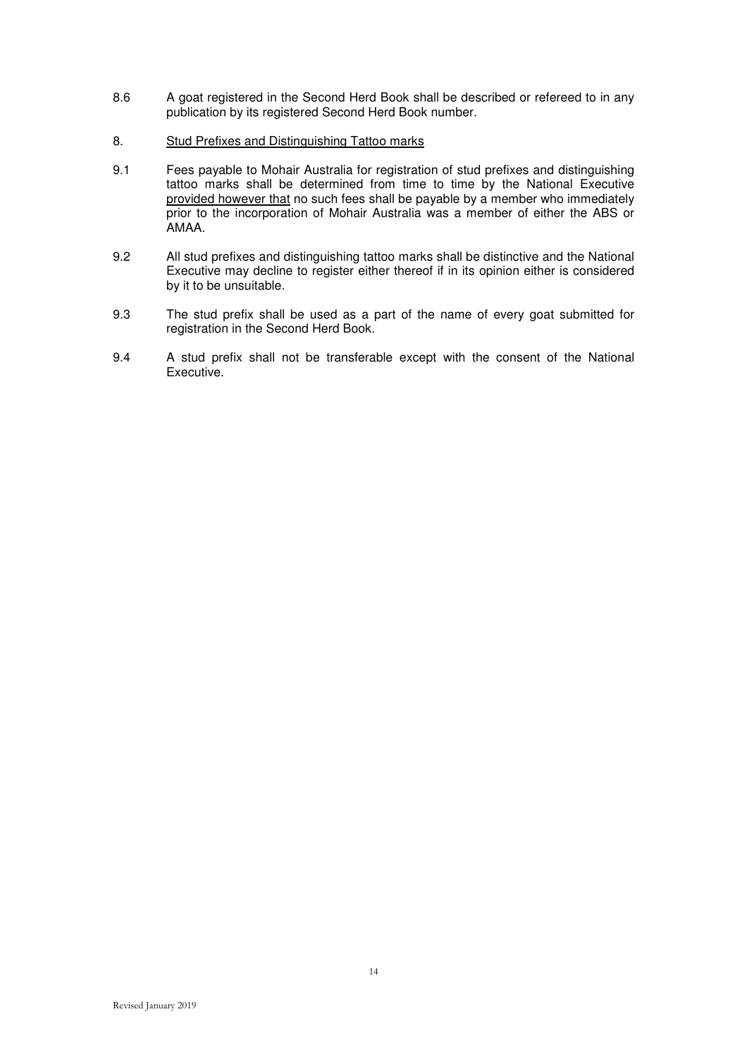- 8.6 A goat registered in the Second Herd Book shall be described or refereed to in any publication by its registered Second Herd Book number.
- 8. Stud Prefixes and Distinguishing Tattoo marks
- 9.1 Fees payable to Mohair Australia for registration of stud prefixes and distinguishing tattoo marks shall be determined from time to time by the National Executive provided however that no such fees shall be payable by a member who immediately prior to the incorporation of Mohair Australia was a member of either the ABS or AMAA.
- 9.2 All stud prefixes and distinguishing tattoo marks shall be distinctive and the National Executive may decline to register either thereof if in its opinion either is considered by it to be unsuitable.
- 9.3 The stud prefix shall be used as a part of the name of every goat submitted for registration in the Second Herd Book.
- 9.4 A stud prefix shall not be transferable except with the consent of the National Executive.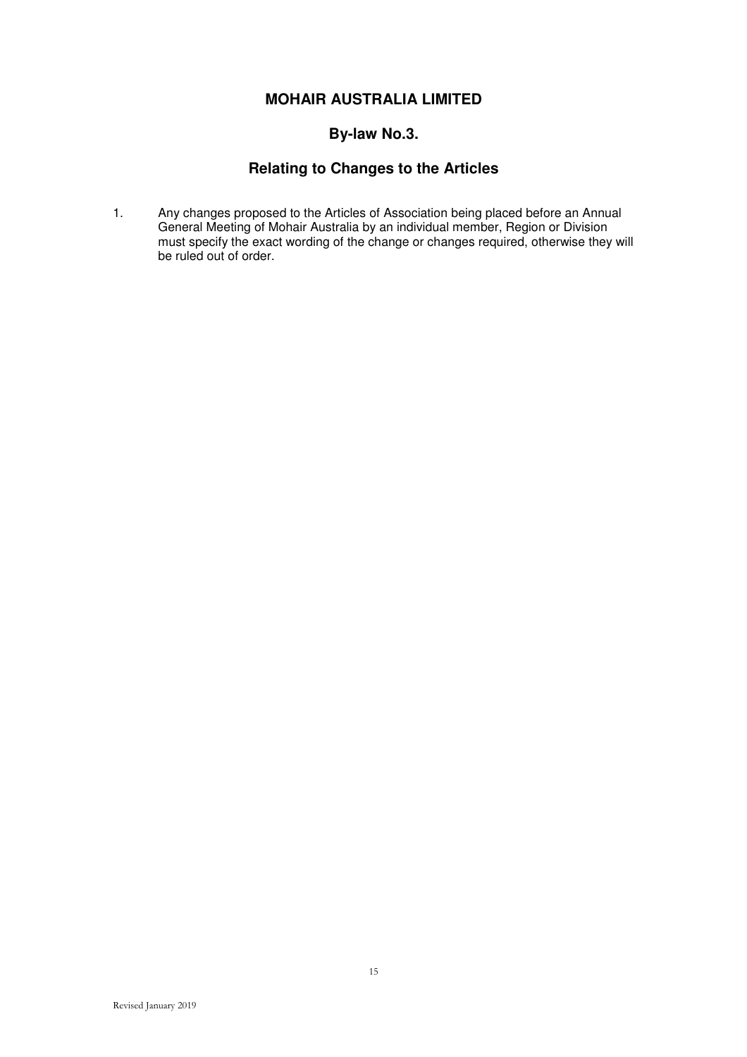## **By-law No.3.**

## **Relating to Changes to the Articles**

1. Any changes proposed to the Articles of Association being placed before an Annual General Meeting of Mohair Australia by an individual member, Region or Division must specify the exact wording of the change or changes required, otherwise they will be ruled out of order.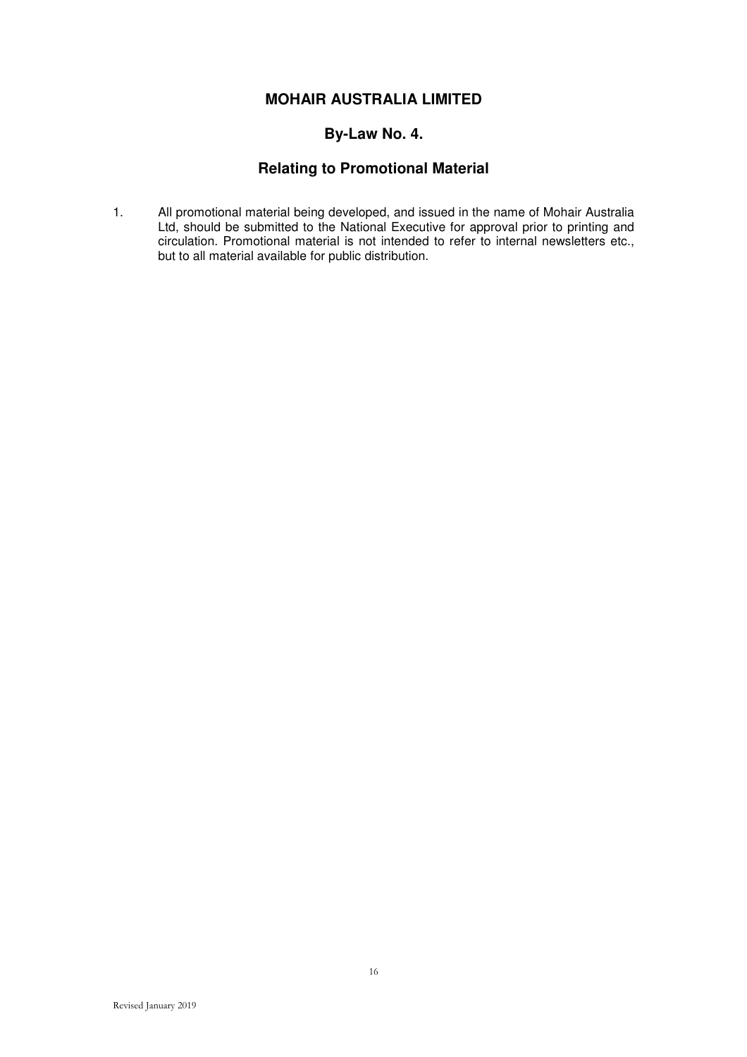## **By-Law No. 4.**

## **Relating to Promotional Material**

1. All promotional material being developed, and issued in the name of Mohair Australia Ltd, should be submitted to the National Executive for approval prior to printing and circulation. Promotional material is not intended to refer to internal newsletters etc., but to all material available for public distribution.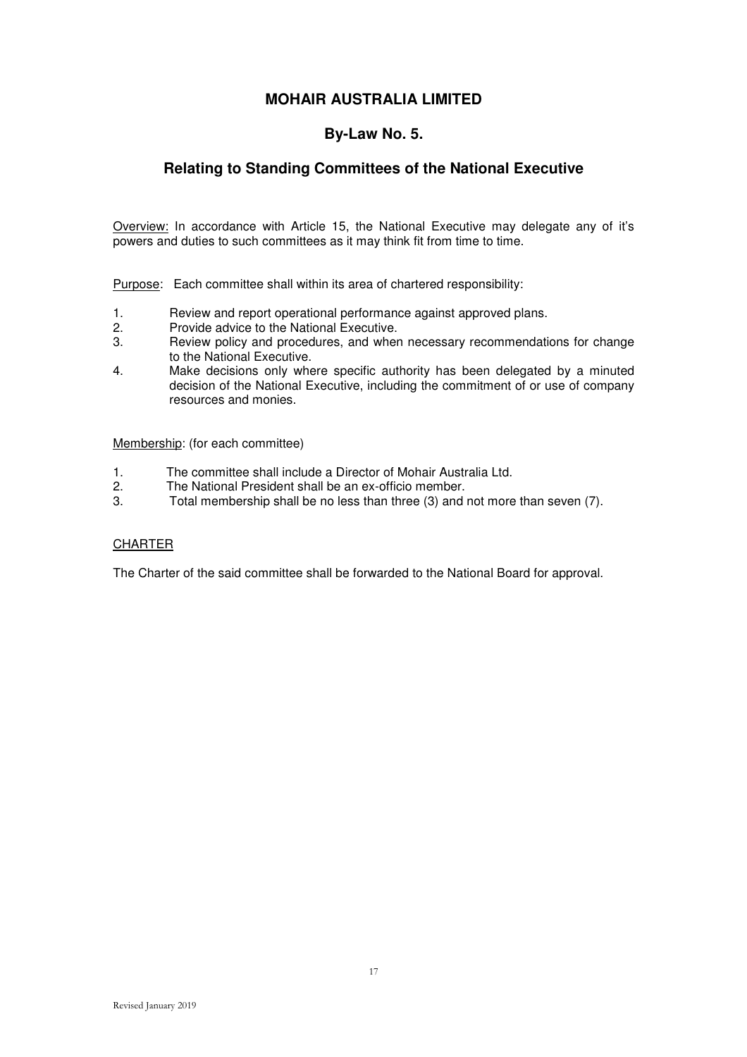### **By-Law No. 5.**

## **Relating to Standing Committees of the National Executive**

Overview: In accordance with Article 15, the National Executive may delegate any of it's powers and duties to such committees as it may think fit from time to time.

Purpose: Each committee shall within its area of chartered responsibility:

- 1. Review and report operational performance against approved plans.
- 2. Provide advice to the National Executive.
- 3. Review policy and procedures, and when necessary recommendations for change to the National Executive.
- 4. Make decisions only where specific authority has been delegated by a minuted decision of the National Executive, including the commitment of or use of company resources and monies.

Membership: (for each committee)

- 1. The committee shall include a Director of Mohair Australia Ltd.<br>2. The National President shall be an ex-officio member.
- 2. The National President shall be an ex-officio member.<br>3. Total membership shall be no less than three (3) and
- Total membership shall be no less than three (3) and not more than seven (7).

### **CHARTER**

The Charter of the said committee shall be forwarded to the National Board for approval.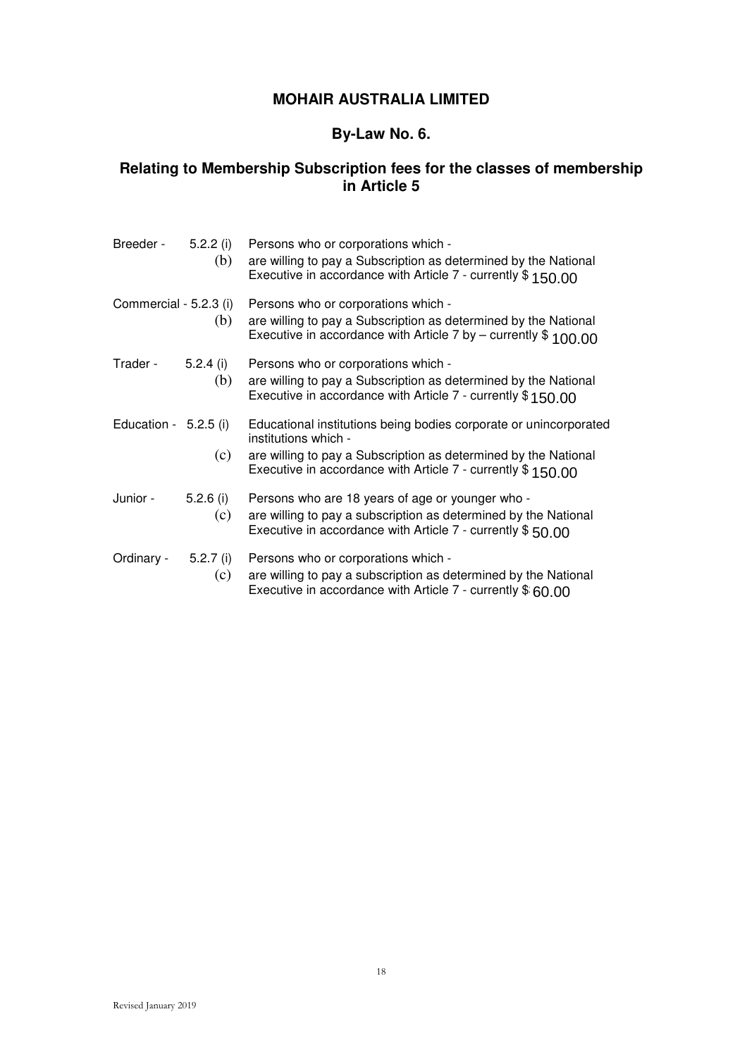## **By-Law No. 6.**

## **Relating to Membership Subscription fees for the classes of membership in Article 5**

| Breeder -               | 5.2.2(i)<br>(b) | Persons who or corporations which -<br>are willing to pay a Subscription as determined by the National<br>Executive in accordance with Article 7 - currently \$150.00                                                       |
|-------------------------|-----------------|-----------------------------------------------------------------------------------------------------------------------------------------------------------------------------------------------------------------------------|
| Commercial - 5.2.3 (i)  | (b)             | Persons who or corporations which -<br>are willing to pay a Subscription as determined by the National<br>Executive in accordance with Article 7 by – currently $$100.00$                                                   |
| Trader -                | 5.2.4(i)<br>(b) | Persons who or corporations which -<br>are willing to pay a Subscription as determined by the National<br>Executive in accordance with Article 7 - currently $$150.00$                                                      |
| Education - $5.2.5$ (i) | (c)             | Educational institutions being bodies corporate or unincorporated<br>institutions which -<br>are willing to pay a Subscription as determined by the National<br>Executive in accordance with Article 7 - currently \$150.00 |
| Junior -                | 5.2.6(i)<br>(c) | Persons who are 18 years of age or younger who -<br>are willing to pay a subscription as determined by the National<br>Executive in accordance with Article 7 - currently $$50.00$                                          |
| Ordinary -              | 5.2.7(i)<br>(c) | Persons who or corporations which -<br>are willing to pay a subscription as determined by the National<br>Executive in accordance with Article $7$ - currently $$60.00$                                                     |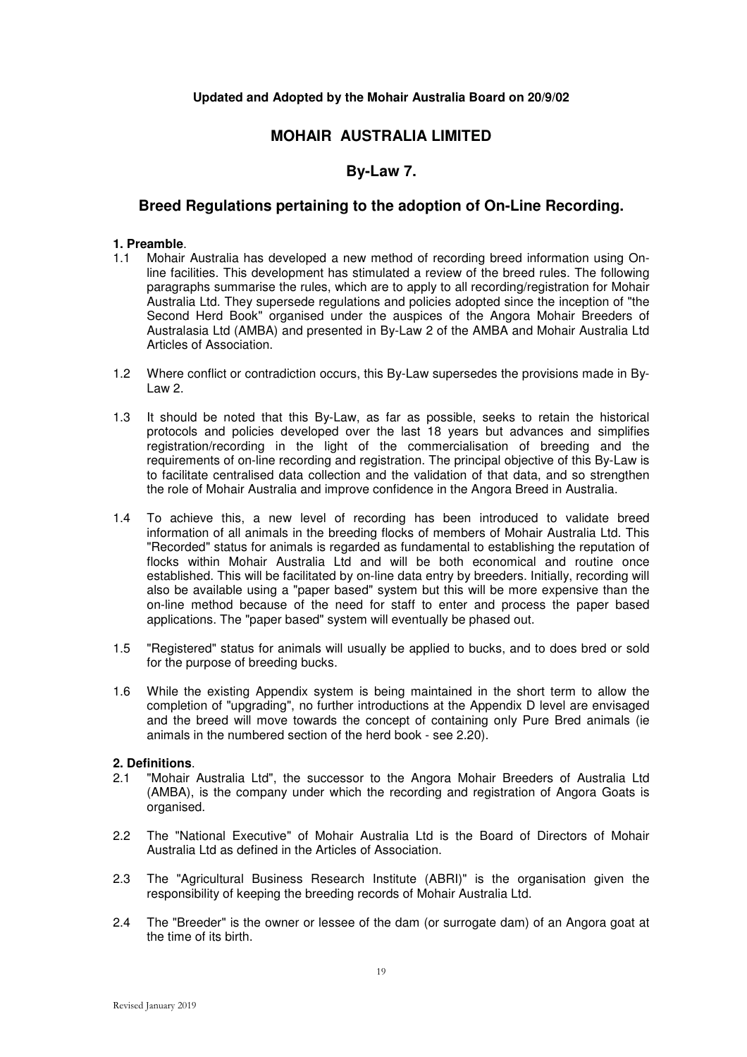### **Updated and Adopted by the Mohair Australia Board on 20/9/02**

## **MOHAIR AUSTRALIA LIMITED**

## **By-Law 7.**

### **Breed Regulations pertaining to the adoption of On-Line Recording.**

### **1. Preamble**.

- 1.1 Mohair Australia has developed a new method of recording breed information using Online facilities. This development has stimulated a review of the breed rules. The following paragraphs summarise the rules, which are to apply to all recording/registration for Mohair Australia Ltd. They supersede regulations and policies adopted since the inception of "the Second Herd Book" organised under the auspices of the Angora Mohair Breeders of Australasia Ltd (AMBA) and presented in By-Law 2 of the AMBA and Mohair Australia Ltd Articles of Association.
- 1.2 Where conflict or contradiction occurs, this By-Law supersedes the provisions made in By-Law 2.
- 1.3 It should be noted that this By-Law, as far as possible, seeks to retain the historical protocols and policies developed over the last 18 years but advances and simplifies registration/recording in the light of the commercialisation of breeding and the requirements of on-line recording and registration. The principal objective of this By-Law is to facilitate centralised data collection and the validation of that data, and so strengthen the role of Mohair Australia and improve confidence in the Angora Breed in Australia.
- 1.4 To achieve this, a new level of recording has been introduced to validate breed information of all animals in the breeding flocks of members of Mohair Australia Ltd. This "Recorded" status for animals is regarded as fundamental to establishing the reputation of flocks within Mohair Australia Ltd and will be both economical and routine once established. This will be facilitated by on-line data entry by breeders. Initially, recording will also be available using a "paper based" system but this will be more expensive than the on-line method because of the need for staff to enter and process the paper based applications. The "paper based" system will eventually be phased out.
- 1.5 "Registered" status for animals will usually be applied to bucks, and to does bred or sold for the purpose of breeding bucks.
- 1.6 While the existing Appendix system is being maintained in the short term to allow the completion of "upgrading", no further introductions at the Appendix D level are envisaged and the breed will move towards the concept of containing only Pure Bred animals (ie animals in the numbered section of the herd book - see 2.20).

### **2. Definitions**.

- 2.1 "Mohair Australia Ltd", the successor to the Angora Mohair Breeders of Australia Ltd (AMBA), is the company under which the recording and registration of Angora Goats is organised.
- 2.2 The "National Executive" of Mohair Australia Ltd is the Board of Directors of Mohair Australia Ltd as defined in the Articles of Association.
- 2.3 The "Agricultural Business Research Institute (ABRI)" is the organisation given the responsibility of keeping the breeding records of Mohair Australia Ltd.
- 2.4 The "Breeder" is the owner or lessee of the dam (or surrogate dam) of an Angora goat at the time of its birth.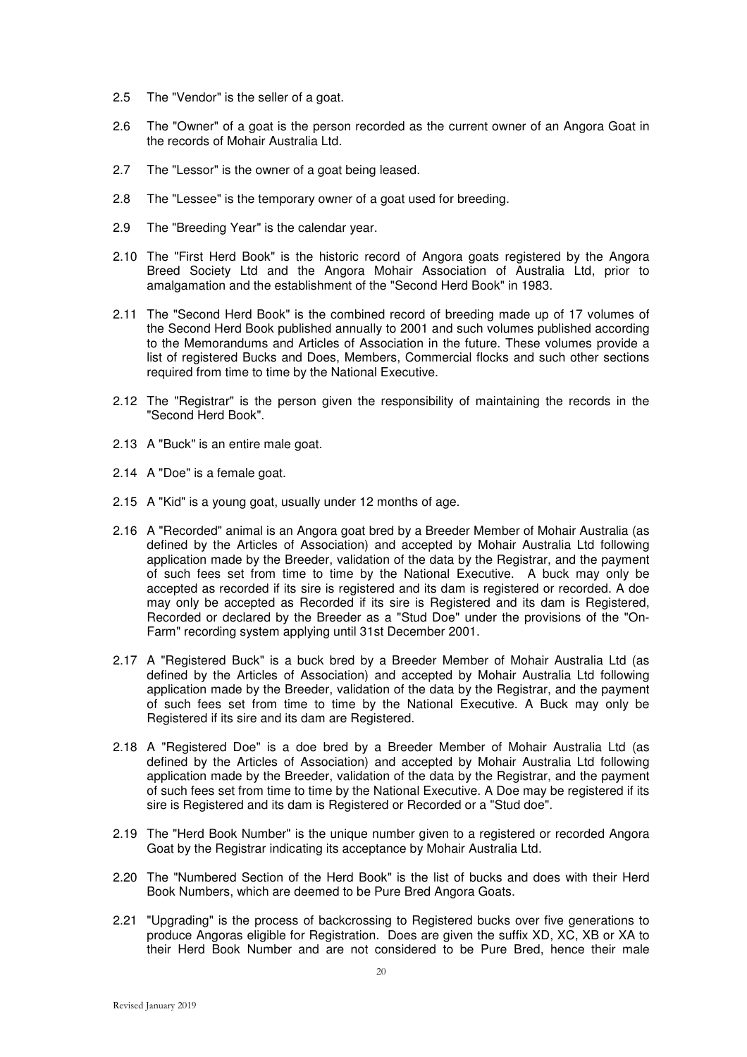- 2.5 The "Vendor" is the seller of a goat.
- 2.6 The "Owner" of a goat is the person recorded as the current owner of an Angora Goat in the records of Mohair Australia Ltd.
- 2.7 The "Lessor" is the owner of a goat being leased.
- 2.8 The "Lessee" is the temporary owner of a goat used for breeding.
- 2.9 The "Breeding Year" is the calendar year.
- 2.10 The "First Herd Book" is the historic record of Angora goats registered by the Angora Breed Society Ltd and the Angora Mohair Association of Australia Ltd, prior to amalgamation and the establishment of the "Second Herd Book" in 1983.
- 2.11 The "Second Herd Book" is the combined record of breeding made up of 17 volumes of the Second Herd Book published annually to 2001 and such volumes published according to the Memorandums and Articles of Association in the future. These volumes provide a list of registered Bucks and Does, Members, Commercial flocks and such other sections required from time to time by the National Executive.
- 2.12 The "Registrar" is the person given the responsibility of maintaining the records in the "Second Herd Book".
- 2.13 A "Buck" is an entire male goat.
- 2.14 A "Doe" is a female goat.
- 2.15 A "Kid" is a young goat, usually under 12 months of age.
- 2.16 A "Recorded" animal is an Angora goat bred by a Breeder Member of Mohair Australia (as defined by the Articles of Association) and accepted by Mohair Australia Ltd following application made by the Breeder, validation of the data by the Registrar, and the payment of such fees set from time to time by the National Executive. A buck may only be accepted as recorded if its sire is registered and its dam is registered or recorded. A doe may only be accepted as Recorded if its sire is Registered and its dam is Registered, Recorded or declared by the Breeder as a "Stud Doe" under the provisions of the "On-Farm" recording system applying until 31st December 2001.
- 2.17 A "Registered Buck" is a buck bred by a Breeder Member of Mohair Australia Ltd (as defined by the Articles of Association) and accepted by Mohair Australia Ltd following application made by the Breeder, validation of the data by the Registrar, and the payment of such fees set from time to time by the National Executive. A Buck may only be Registered if its sire and its dam are Registered.
- 2.18 A "Registered Doe" is a doe bred by a Breeder Member of Mohair Australia Ltd (as defined by the Articles of Association) and accepted by Mohair Australia Ltd following application made by the Breeder, validation of the data by the Registrar, and the payment of such fees set from time to time by the National Executive. A Doe may be registered if its sire is Registered and its dam is Registered or Recorded or a "Stud doe".
- 2.19 The "Herd Book Number" is the unique number given to a registered or recorded Angora Goat by the Registrar indicating its acceptance by Mohair Australia Ltd.
- 2.20 The "Numbered Section of the Herd Book" is the list of bucks and does with their Herd Book Numbers, which are deemed to be Pure Bred Angora Goats.
- 2.21 "Upgrading" is the process of backcrossing to Registered bucks over five generations to produce Angoras eligible for Registration. Does are given the suffix XD, XC, XB or XA to their Herd Book Number and are not considered to be Pure Bred, hence their male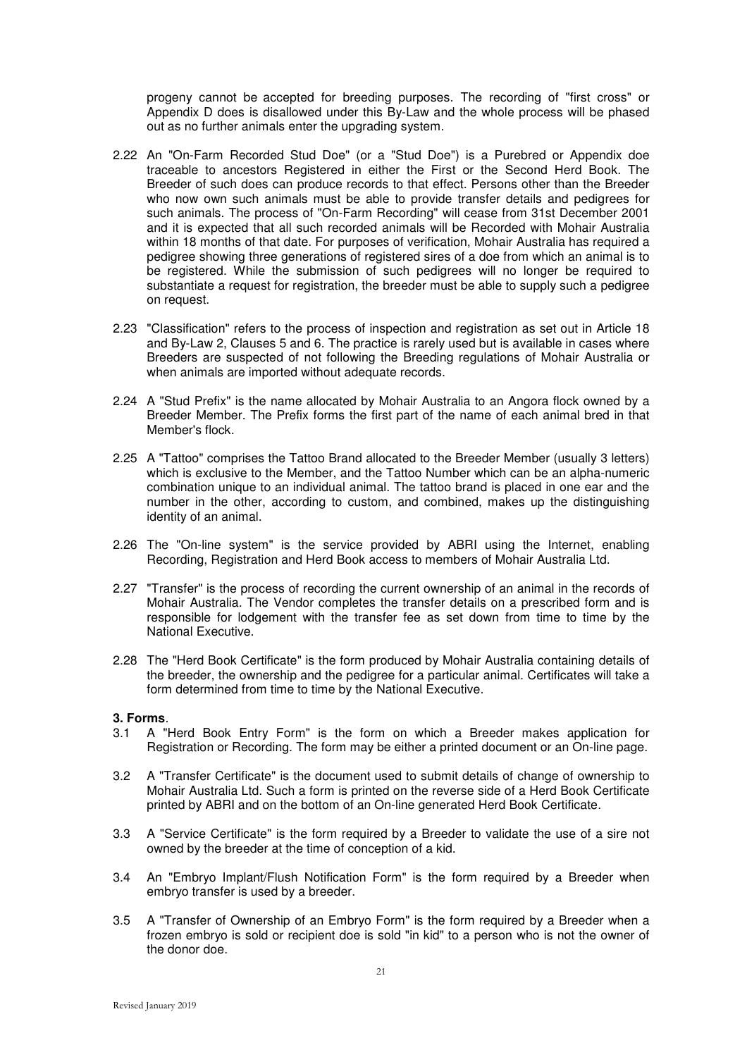progeny cannot be accepted for breeding purposes. The recording of "first cross" or Appendix D does is disallowed under this By-Law and the whole process will be phased out as no further animals enter the upgrading system.

- 2.22 An "On-Farm Recorded Stud Doe" (or a "Stud Doe") is a Purebred or Appendix doe traceable to ancestors Registered in either the First or the Second Herd Book. The Breeder of such does can produce records to that effect. Persons other than the Breeder who now own such animals must be able to provide transfer details and pedigrees for such animals. The process of "On-Farm Recording" will cease from 31st December 2001 and it is expected that all such recorded animals will be Recorded with Mohair Australia within 18 months of that date. For purposes of verification, Mohair Australia has required a pedigree showing three generations of registered sires of a doe from which an animal is to be registered. While the submission of such pedigrees will no longer be required to substantiate a request for registration, the breeder must be able to supply such a pedigree on request.
- 2.23 "Classification" refers to the process of inspection and registration as set out in Article 18 and By-Law 2, Clauses 5 and 6. The practice is rarely used but is available in cases where Breeders are suspected of not following the Breeding regulations of Mohair Australia or when animals are imported without adequate records.
- 2.24 A "Stud Prefix" is the name allocated by Mohair Australia to an Angora flock owned by a Breeder Member. The Prefix forms the first part of the name of each animal bred in that Member's flock.
- 2.25 A "Tattoo" comprises the Tattoo Brand allocated to the Breeder Member (usually 3 letters) which is exclusive to the Member, and the Tattoo Number which can be an alpha-numeric combination unique to an individual animal. The tattoo brand is placed in one ear and the number in the other, according to custom, and combined, makes up the distinguishing identity of an animal.
- 2.26 The "On-line system" is the service provided by ABRI using the Internet, enabling Recording, Registration and Herd Book access to members of Mohair Australia Ltd.
- 2.27 "Transfer" is the process of recording the current ownership of an animal in the records of Mohair Australia. The Vendor completes the transfer details on a prescribed form and is responsible for lodgement with the transfer fee as set down from time to time by the National Executive.
- 2.28 The "Herd Book Certificate" is the form produced by Mohair Australia containing details of the breeder, the ownership and the pedigree for a particular animal. Certificates will take a form determined from time to time by the National Executive.

#### **3. Forms**.

- 3.1 A "Herd Book Entry Form" is the form on which a Breeder makes application for Registration or Recording. The form may be either a printed document or an On-line page.
- 3.2 A "Transfer Certificate" is the document used to submit details of change of ownership to Mohair Australia Ltd. Such a form is printed on the reverse side of a Herd Book Certificate printed by ABRI and on the bottom of an On-line generated Herd Book Certificate.
- 3.3 A "Service Certificate" is the form required by a Breeder to validate the use of a sire not owned by the breeder at the time of conception of a kid.
- 3.4 An "Embryo Implant/Flush Notification Form" is the form required by a Breeder when embryo transfer is used by a breeder.
- 3.5 A "Transfer of Ownership of an Embryo Form" is the form required by a Breeder when a frozen embryo is sold or recipient doe is sold "in kid" to a person who is not the owner of the donor doe.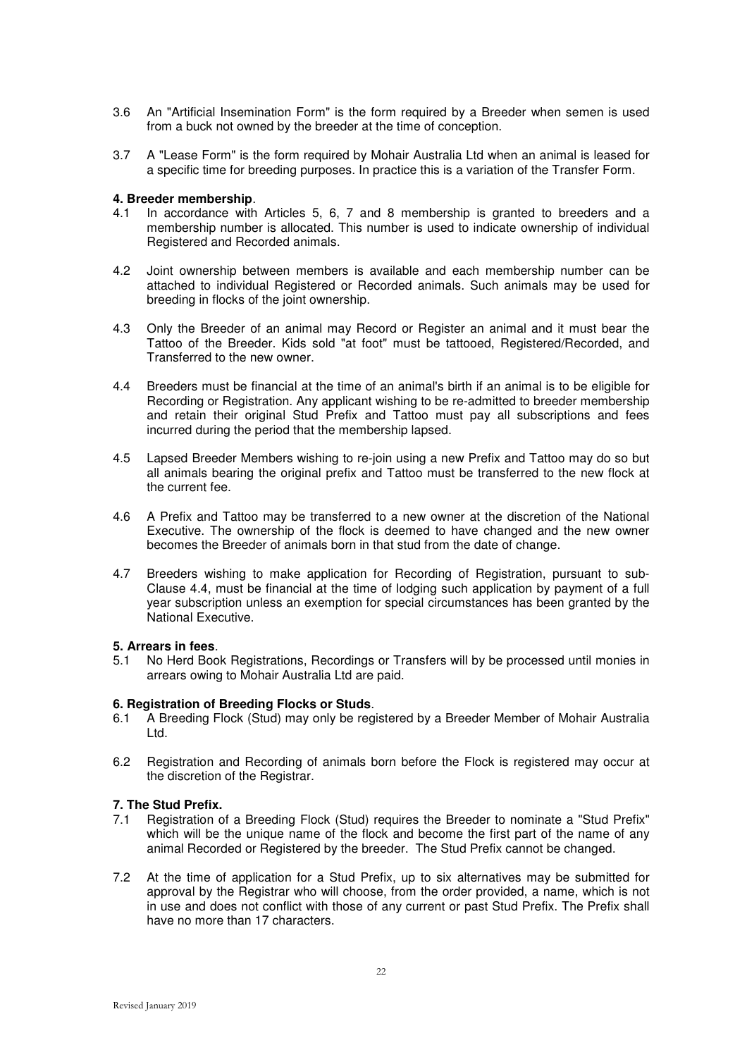- 3.6 An "Artificial Insemination Form" is the form required by a Breeder when semen is used from a buck not owned by the breeder at the time of conception.
- 3.7 A "Lease Form" is the form required by Mohair Australia Ltd when an animal is leased for a specific time for breeding purposes. In practice this is a variation of the Transfer Form.

#### **4. Breeder membership**.

- 4.1 In accordance with Articles 5, 6, 7 and 8 membership is granted to breeders and a membership number is allocated. This number is used to indicate ownership of individual Registered and Recorded animals.
- 4.2 Joint ownership between members is available and each membership number can be attached to individual Registered or Recorded animals. Such animals may be used for breeding in flocks of the joint ownership.
- 4.3 Only the Breeder of an animal may Record or Register an animal and it must bear the Tattoo of the Breeder. Kids sold "at foot" must be tattooed, Registered/Recorded, and Transferred to the new owner.
- 4.4 Breeders must be financial at the time of an animal's birth if an animal is to be eligible for Recording or Registration. Any applicant wishing to be re-admitted to breeder membership and retain their original Stud Prefix and Tattoo must pay all subscriptions and fees incurred during the period that the membership lapsed.
- 4.5 Lapsed Breeder Members wishing to re-join using a new Prefix and Tattoo may do so but all animals bearing the original prefix and Tattoo must be transferred to the new flock at the current fee.
- 4.6 A Prefix and Tattoo may be transferred to a new owner at the discretion of the National Executive. The ownership of the flock is deemed to have changed and the new owner becomes the Breeder of animals born in that stud from the date of change.
- 4.7 Breeders wishing to make application for Recording of Registration, pursuant to sub-Clause 4.4, must be financial at the time of lodging such application by payment of a full year subscription unless an exemption for special circumstances has been granted by the National Executive.

### **5. Arrears in fees**.

5.1 No Herd Book Registrations, Recordings or Transfers will by be processed until monies in arrears owing to Mohair Australia Ltd are paid.

#### **6. Registration of Breeding Flocks or Studs**.

- 6.1 A Breeding Flock (Stud) may only be registered by a Breeder Member of Mohair Australia Ltd.
- 6.2 Registration and Recording of animals born before the Flock is registered may occur at the discretion of the Registrar.

### **7. The Stud Prefix.**

- 7.1 Registration of a Breeding Flock (Stud) requires the Breeder to nominate a "Stud Prefix" which will be the unique name of the flock and become the first part of the name of any animal Recorded or Registered by the breeder. The Stud Prefix cannot be changed.
- 7.2 At the time of application for a Stud Prefix, up to six alternatives may be submitted for approval by the Registrar who will choose, from the order provided, a name, which is not in use and does not conflict with those of any current or past Stud Prefix. The Prefix shall have no more than 17 characters.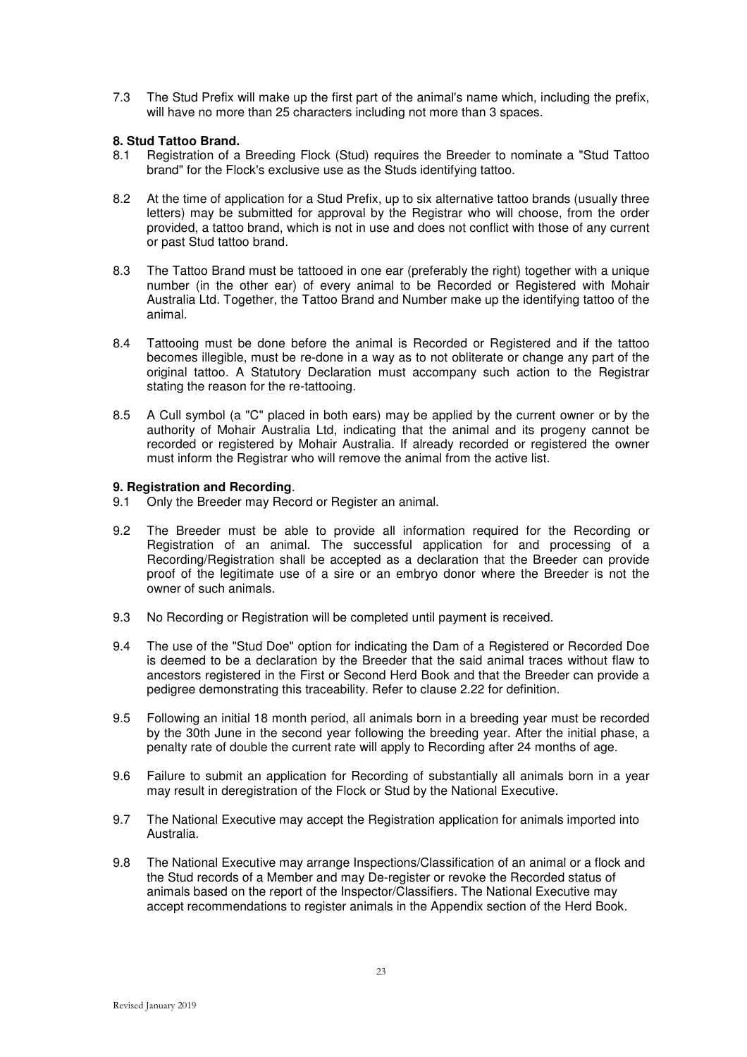7.3 The Stud Prefix will make up the first part of the animal's name which, including the prefix, will have no more than 25 characters including not more than 3 spaces.

### **8. Stud Tattoo Brand.**

- 8.1 Registration of a Breeding Flock (Stud) requires the Breeder to nominate a "Stud Tattoo brand" for the Flock's exclusive use as the Studs identifying tattoo.
- 8.2 At the time of application for a Stud Prefix, up to six alternative tattoo brands (usually three letters) may be submitted for approval by the Registrar who will choose, from the order provided, a tattoo brand, which is not in use and does not conflict with those of any current or past Stud tattoo brand.
- 8.3 The Tattoo Brand must be tattooed in one ear (preferably the right) together with a unique number (in the other ear) of every animal to be Recorded or Registered with Mohair Australia Ltd. Together, the Tattoo Brand and Number make up the identifying tattoo of the animal.
- 8.4 Tattooing must be done before the animal is Recorded or Registered and if the tattoo becomes illegible, must be re-done in a way as to not obliterate or change any part of the original tattoo. A Statutory Declaration must accompany such action to the Registrar stating the reason for the re-tattooing.
- 8.5 A Cull symbol (a "C" placed in both ears) may be applied by the current owner or by the authority of Mohair Australia Ltd, indicating that the animal and its progeny cannot be recorded or registered by Mohair Australia. If already recorded or registered the owner must inform the Registrar who will remove the animal from the active list.

### **9. Registration and Recording**.

- 9.1 Only the Breeder may Record or Register an animal.
- 9.2 The Breeder must be able to provide all information required for the Recording or Registration of an animal. The successful application for and processing of a Recording/Registration shall be accepted as a declaration that the Breeder can provide proof of the legitimate use of a sire or an embryo donor where the Breeder is not the owner of such animals.
- 9.3 No Recording or Registration will be completed until payment is received.
- 9.4 The use of the "Stud Doe" option for indicating the Dam of a Registered or Recorded Doe is deemed to be a declaration by the Breeder that the said animal traces without flaw to ancestors registered in the First or Second Herd Book and that the Breeder can provide a pedigree demonstrating this traceability. Refer to clause 2.22 for definition.
- 9.5 Following an initial 18 month period, all animals born in a breeding year must be recorded by the 30th June in the second year following the breeding year. After the initial phase, a penalty rate of double the current rate will apply to Recording after 24 months of age.
- 9.6 Failure to submit an application for Recording of substantially all animals born in a year may result in deregistration of the Flock or Stud by the National Executive.
- 9.7 The National Executive may accept the Registration application for animals imported into Australia.
- 9.8 The National Executive may arrange Inspections/Classification of an animal or a flock and the Stud records of a Member and may De-register or revoke the Recorded status of animals based on the report of the Inspector/Classifiers. The National Executive may accept recommendations to register animals in the Appendix section of the Herd Book.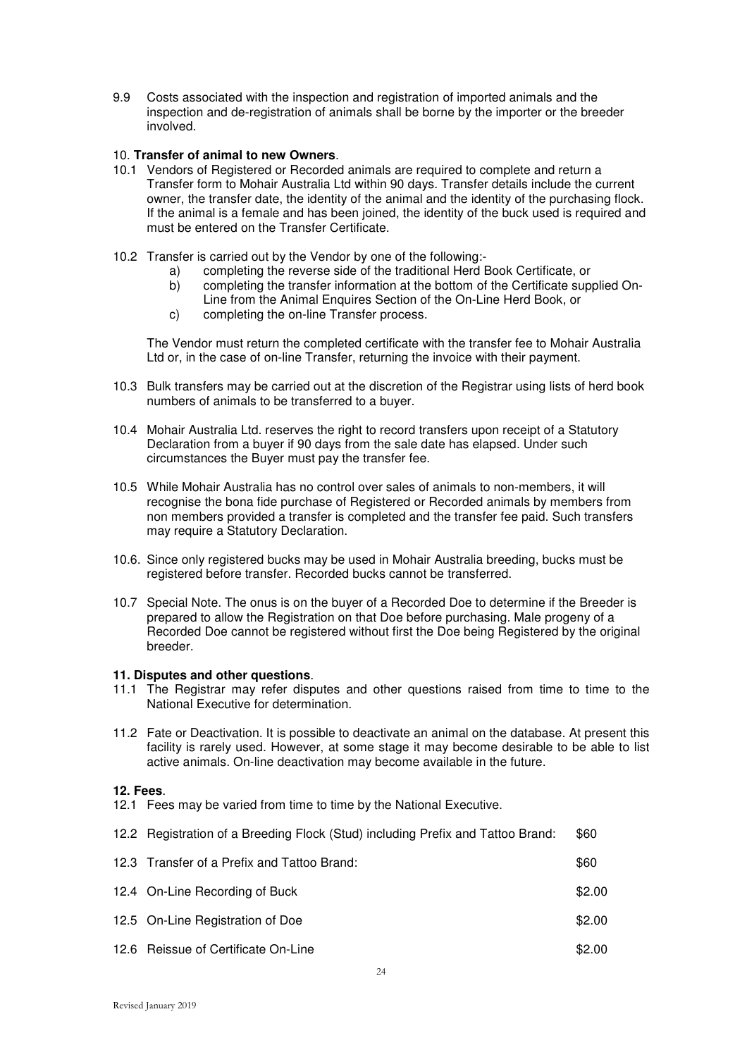9.9 Costs associated with the inspection and registration of imported animals and the inspection and de-registration of animals shall be borne by the importer or the breeder involved.

### 10. **Transfer of animal to new Owners**.

- 10.1 Vendors of Registered or Recorded animals are required to complete and return a Transfer form to Mohair Australia Ltd within 90 days. Transfer details include the current owner, the transfer date, the identity of the animal and the identity of the purchasing flock. If the animal is a female and has been joined, the identity of the buck used is required and must be entered on the Transfer Certificate.
- 10.2 Transfer is carried out by the Vendor by one of the following:
	- a) completing the reverse side of the traditional Herd Book Certificate, or
	- b) completing the transfer information at the bottom of the Certificate supplied On-Line from the Animal Enquires Section of the On-Line Herd Book, or
	- c) completing the on-line Transfer process.

 The Vendor must return the completed certificate with the transfer fee to Mohair Australia Ltd or, in the case of on-line Transfer, returning the invoice with their payment.

- 10.3 Bulk transfers may be carried out at the discretion of the Registrar using lists of herd book numbers of animals to be transferred to a buyer.
- 10.4 Mohair Australia Ltd. reserves the right to record transfers upon receipt of a Statutory Declaration from a buyer if 90 days from the sale date has elapsed. Under such circumstances the Buyer must pay the transfer fee.
- 10.5 While Mohair Australia has no control over sales of animals to non-members, it will recognise the bona fide purchase of Registered or Recorded animals by members from non members provided a transfer is completed and the transfer fee paid. Such transfers may require a Statutory Declaration.
- 10.6. Since only registered bucks may be used in Mohair Australia breeding, bucks must be registered before transfer. Recorded bucks cannot be transferred.
- 10.7 Special Note. The onus is on the buyer of a Recorded Doe to determine if the Breeder is prepared to allow the Registration on that Doe before purchasing. Male progeny of a Recorded Doe cannot be registered without first the Doe being Registered by the original breeder.

### **11. Disputes and other questions**.

- 11.1 The Registrar may refer disputes and other questions raised from time to time to the National Executive for determination.
- 11.2 Fate or Deactivation. It is possible to deactivate an animal on the database. At present this facility is rarely used. However, at some stage it may become desirable to be able to list active animals. On-line deactivation may become available in the future.

### **12. Fees**.

12.1 Fees may be varied from time to time by the National Executive.

| 12.2 Registration of a Breeding Flock (Stud) including Prefix and Tattoo Brand: | \$60 |
|---------------------------------------------------------------------------------|------|
| 12.3 Transfer of a Prefix and Tattoo Brand:                                     | \$60 |

| 12.4 On-Line Recording of Buck      | \$2.00 |
|-------------------------------------|--------|
| 12.5 On-Line Registration of Doe    | \$2.00 |
| 12.6 Reissue of Certificate On-Line | \$2.00 |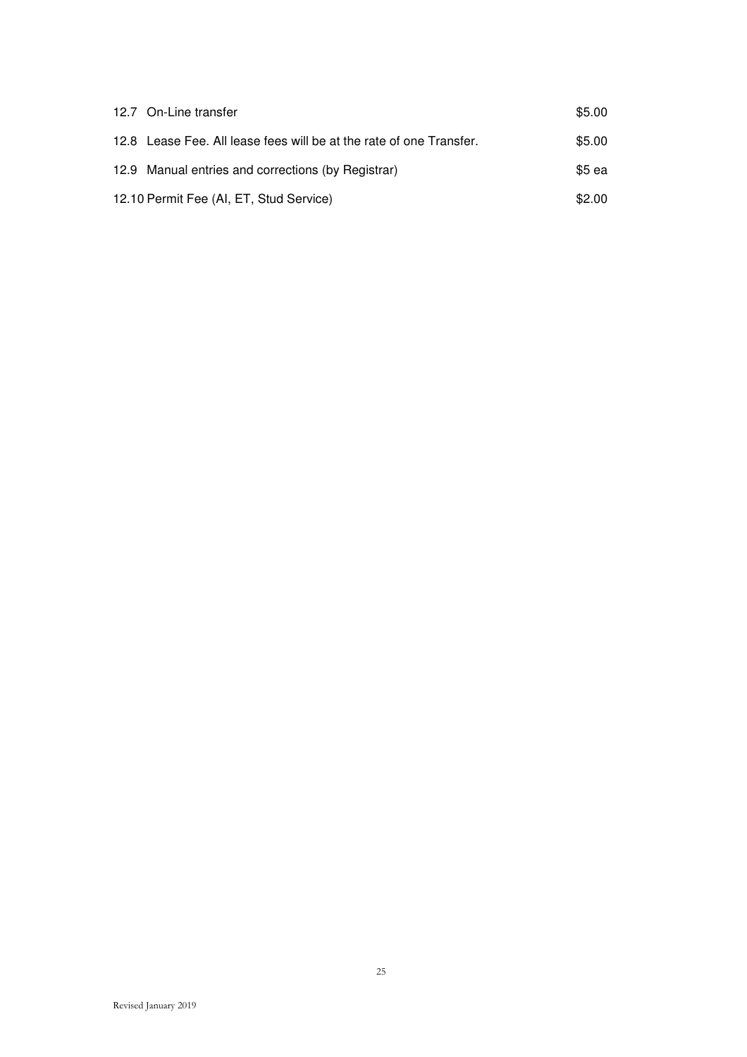| 12.7 On-Line transfer                                               | \$5.00 |
|---------------------------------------------------------------------|--------|
| 12.8 Lease Fee. All lease fees will be at the rate of one Transfer. | \$5.00 |
| 12.9 Manual entries and corrections (by Registrar)                  | \$5 ea |
| 12.10 Permit Fee (AI, ET, Stud Service)                             | \$2.00 |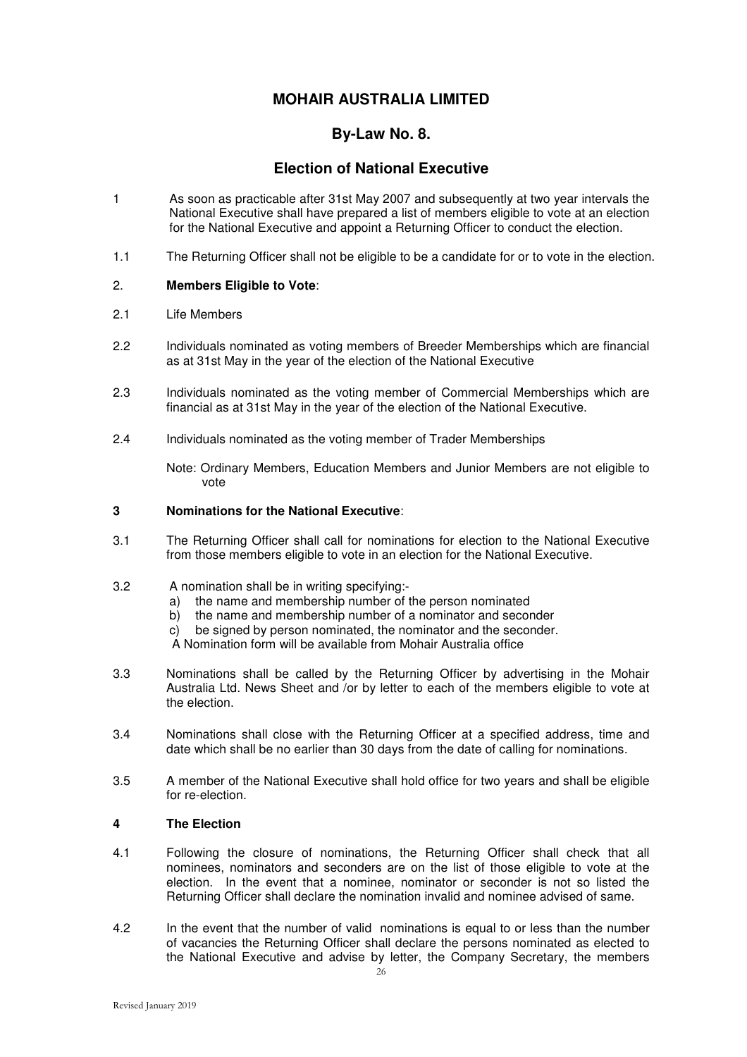## **By-Law No. 8.**

## **Election of National Executive**

- 1 As soon as practicable after 31st May 2007 and subsequently at two year intervals the National Executive shall have prepared a list of members eligible to vote at an election for the National Executive and appoint a Returning Officer to conduct the election.
- 1.1 The Returning Officer shall not be eligible to be a candidate for or to vote in the election.

### 2. **Members Eligible to Vote**:

- 2.1 Life Members
- 2.2 Individuals nominated as voting members of Breeder Memberships which are financial as at 31st May in the year of the election of the National Executive
- 2.3 Individuals nominated as the voting member of Commercial Memberships which are financial as at 31st May in the year of the election of the National Executive.
- 2.4 Individuals nominated as the voting member of Trader Memberships

 Note: Ordinary Members, Education Members and Junior Members are not eligible to vote

### **3 Nominations for the National Executive**:

3.1 The Returning Officer shall call for nominations for election to the National Executive from those members eligible to vote in an election for the National Executive.

### 3.2 A nomination shall be in writing specifying:-

- a) the name and membership number of the person nominated
- b) the name and membership number of a nominator and seconder
- c) be signed by person nominated, the nominator and the seconder.

A Nomination form will be available from Mohair Australia office

- 3.3 Nominations shall be called by the Returning Officer by advertising in the Mohair Australia Ltd. News Sheet and /or by letter to each of the members eligible to vote at the election.
- 3.4 Nominations shall close with the Returning Officer at a specified address, time and date which shall be no earlier than 30 days from the date of calling for nominations.
- 3.5 A member of the National Executive shall hold office for two years and shall be eligible for re-election.

### **4 The Election**

- 4.1 Following the closure of nominations, the Returning Officer shall check that all nominees, nominators and seconders are on the list of those eligible to vote at the election. In the event that a nominee, nominator or seconder is not so listed the Returning Officer shall declare the nomination invalid and nominee advised of same.
- 4.2 In the event that the number of valid nominations is equal to or less than the number of vacancies the Returning Officer shall declare the persons nominated as elected to the National Executive and advise by letter, the Company Secretary, the members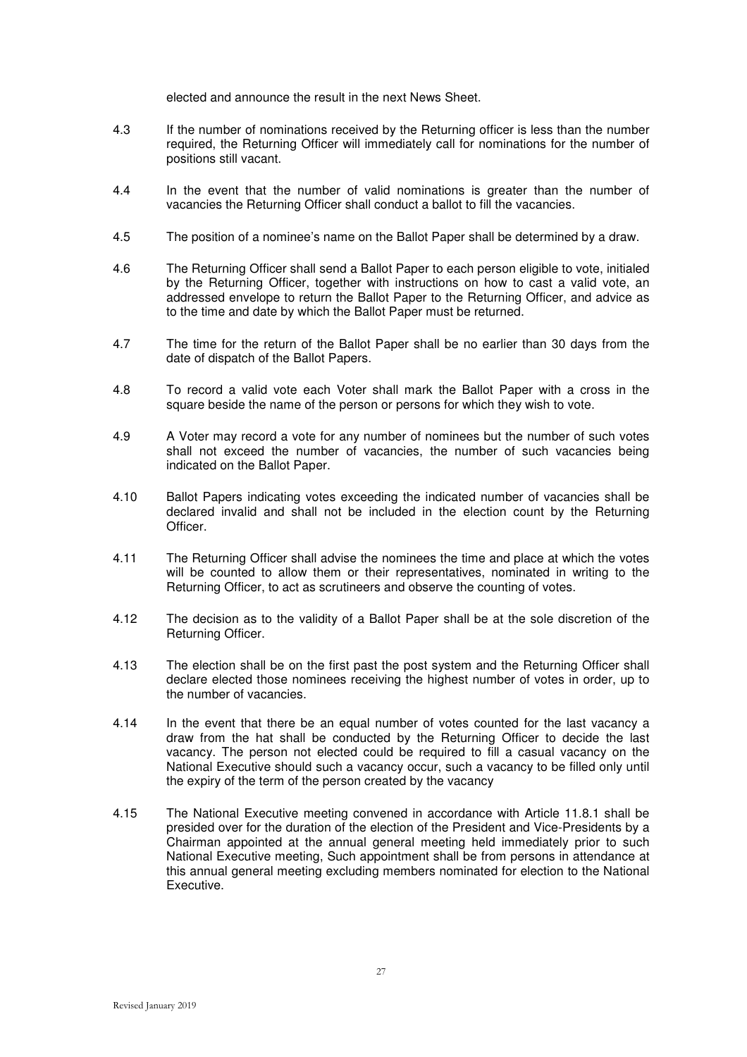elected and announce the result in the next News Sheet.

- 4.3 If the number of nominations received by the Returning officer is less than the number required, the Returning Officer will immediately call for nominations for the number of positions still vacant.
- 4.4 In the event that the number of valid nominations is greater than the number of vacancies the Returning Officer shall conduct a ballot to fill the vacancies.
- 4.5 The position of a nominee's name on the Ballot Paper shall be determined by a draw.
- 4.6 The Returning Officer shall send a Ballot Paper to each person eligible to vote, initialed by the Returning Officer, together with instructions on how to cast a valid vote, an addressed envelope to return the Ballot Paper to the Returning Officer, and advice as to the time and date by which the Ballot Paper must be returned.
- 4.7 The time for the return of the Ballot Paper shall be no earlier than 30 days from the date of dispatch of the Ballot Papers.
- 4.8 To record a valid vote each Voter shall mark the Ballot Paper with a cross in the square beside the name of the person or persons for which they wish to vote.
- 4.9 A Voter may record a vote for any number of nominees but the number of such votes shall not exceed the number of vacancies, the number of such vacancies being indicated on the Ballot Paper.
- 4.10 Ballot Papers indicating votes exceeding the indicated number of vacancies shall be declared invalid and shall not be included in the election count by the Returning **Officer**
- 4.11 The Returning Officer shall advise the nominees the time and place at which the votes will be counted to allow them or their representatives, nominated in writing to the Returning Officer, to act as scrutineers and observe the counting of votes.
- 4.12 The decision as to the validity of a Ballot Paper shall be at the sole discretion of the Returning Officer.
- 4.13 The election shall be on the first past the post system and the Returning Officer shall declare elected those nominees receiving the highest number of votes in order, up to the number of vacancies.
- 4.14 In the event that there be an equal number of votes counted for the last vacancy a draw from the hat shall be conducted by the Returning Officer to decide the last vacancy. The person not elected could be required to fill a casual vacancy on the National Executive should such a vacancy occur, such a vacancy to be filled only until the expiry of the term of the person created by the vacancy
- 4.15 The National Executive meeting convened in accordance with Article 11.8.1 shall be presided over for the duration of the election of the President and Vice-Presidents by a Chairman appointed at the annual general meeting held immediately prior to such National Executive meeting, Such appointment shall be from persons in attendance at this annual general meeting excluding members nominated for election to the National Executive.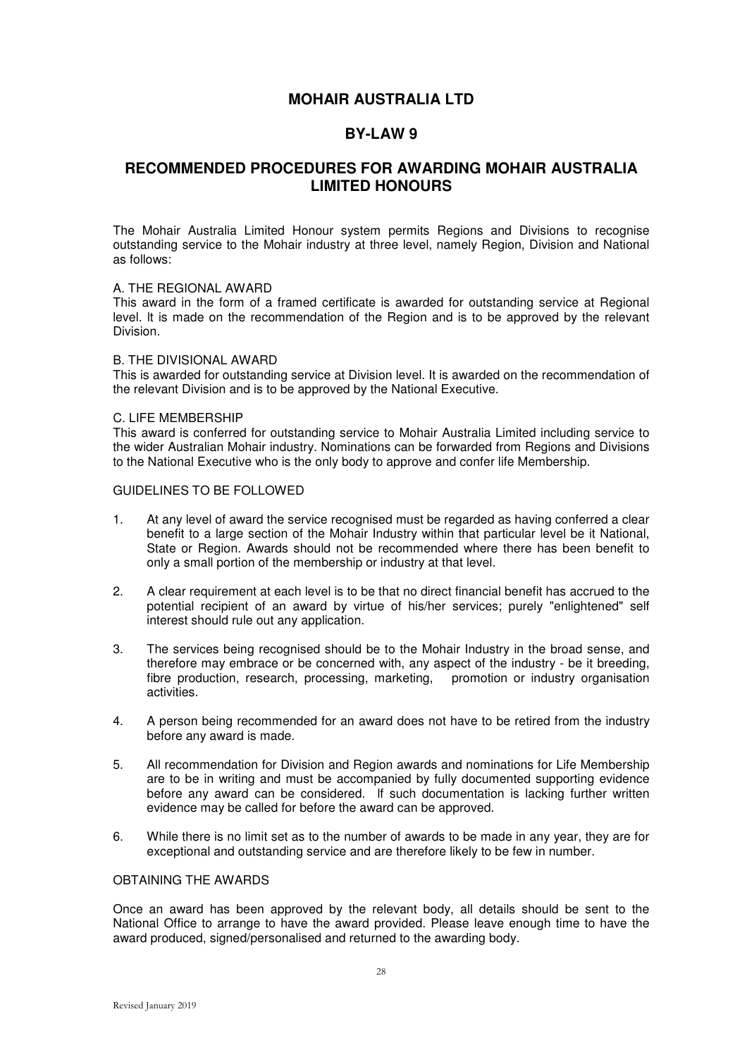### **BY-LAW 9**

## **RECOMMENDED PROCEDURES FOR AWARDING MOHAIR AUSTRALIA LIMITED HONOURS**

The Mohair Australia Limited Honour system permits Regions and Divisions to recognise outstanding service to the Mohair industry at three level, namely Region, Division and National as follows:

### A. THE REGIONAL AWARD

This award in the form of a framed certificate is awarded for outstanding service at Regional level. lt is made on the recommendation of the Region and is to be approved by the relevant Division.

#### B. THE DIVISIONAL AWARD

This is awarded for outstanding service at Division level. It is awarded on the recommendation of the relevant Division and is to be approved by the National Executive.

#### C. LIFE MEMBERSHIP

This award is conferred for outstanding service to Mohair Australia Limited including service to the wider Australian Mohair industry. Nominations can be forwarded from Regions and Divisions to the National Executive who is the only body to approve and confer life Membership.

### GUIDELINES TO BE FOLLOWED

- 1. At any level of award the service recognised must be regarded as having conferred a clear benefit to a large section of the Mohair Industry within that particular level be it National, State or Region. Awards should not be recommended where there has been benefit to only a small portion of the membership or industry at that level.
- 2. A clear requirement at each level is to be that no direct financial benefit has accrued to the potential recipient of an award by virtue of his/her services; purely "enlightened" self interest should rule out any application.
- 3. The services being recognised should be to the Mohair Industry in the broad sense, and therefore may embrace or be concerned with, any aspect of the industry - be it breeding, fibre production, research, processing, marketing, promotion or industry organisation activities.
- 4. A person being recommended for an award does not have to be retired from the industry before any award is made.
- 5. All recommendation for Division and Region awards and nominations for Life Membership are to be in writing and must be accompanied by fully documented supporting evidence before any award can be considered. lf such documentation is lacking further written evidence may be called for before the award can be approved.
- 6. While there is no limit set as to the number of awards to be made in any year, they are for exceptional and outstanding service and are therefore likely to be few in number.

### OBTAINING THE AWARDS

Once an award has been approved by the relevant body, all details should be sent to the National Office to arrange to have the award provided. Please leave enough time to have the award produced, signed/personalised and returned to the awarding body.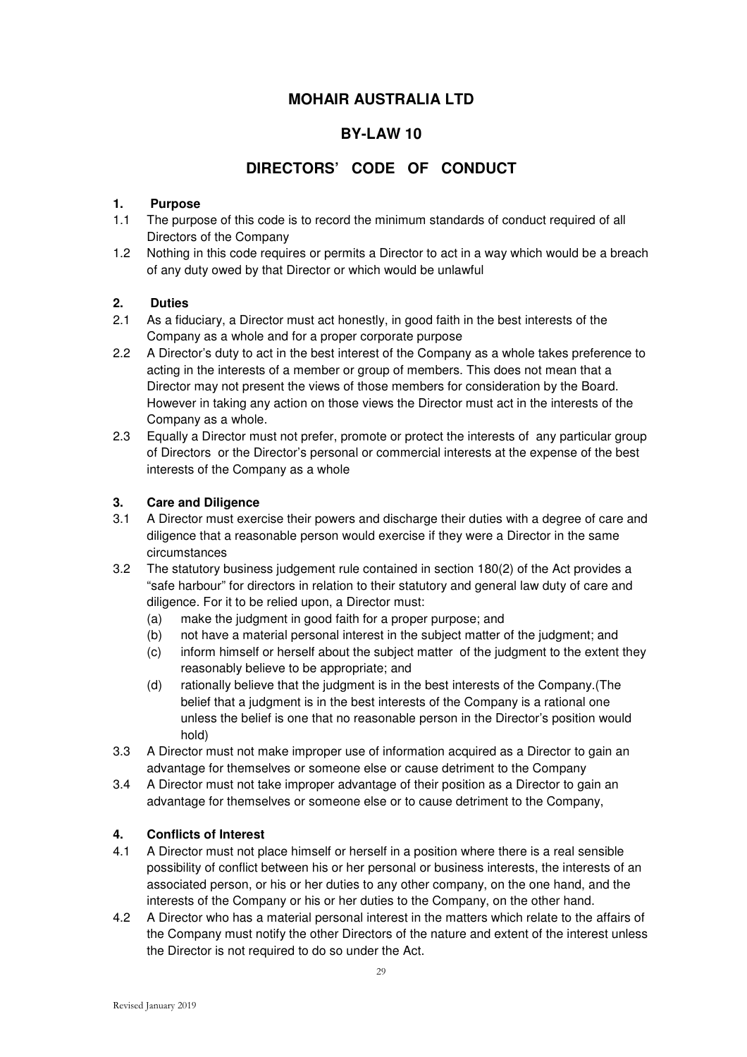## **BY-LAW 10**

## **DIRECTORS' CODE OF CONDUCT**

### **1. Purpose**

- 1.1 The purpose of this code is to record the minimum standards of conduct required of all Directors of the Company
- 1.2 Nothing in this code requires or permits a Director to act in a way which would be a breach of any duty owed by that Director or which would be unlawful

### **2. Duties**

- 2.1 As a fiduciary, a Director must act honestly, in good faith in the best interests of the Company as a whole and for a proper corporate purpose
- 2.2 A Director's duty to act in the best interest of the Company as a whole takes preference to acting in the interests of a member or group of members. This does not mean that a Director may not present the views of those members for consideration by the Board. However in taking any action on those views the Director must act in the interests of the Company as a whole.
- 2.3 Equally a Director must not prefer, promote or protect the interests of any particular group of Directors or the Director's personal or commercial interests at the expense of the best interests of the Company as a whole

### **3. Care and Diligence**

- 3.1 A Director must exercise their powers and discharge their duties with a degree of care and diligence that a reasonable person would exercise if they were a Director in the same circumstances
- 3.2 The statutory business judgement rule contained in section 180(2) of the Act provides a "safe harbour" for directors in relation to their statutory and general law duty of care and diligence. For it to be relied upon, a Director must:
	- (a) make the judgment in good faith for a proper purpose; and
	- (b) not have a material personal interest in the subject matter of the judgment; and
	- (c) inform himself or herself about the subject matter of the judgment to the extent they reasonably believe to be appropriate; and
	- (d) rationally believe that the judgment is in the best interests of the Company.(The belief that a judgment is in the best interests of the Company is a rational one unless the belief is one that no reasonable person in the Director's position would hold)
- 3.3 A Director must not make improper use of information acquired as a Director to gain an advantage for themselves or someone else or cause detriment to the Company
- 3.4 A Director must not take improper advantage of their position as a Director to gain an advantage for themselves or someone else or to cause detriment to the Company,

### **4. Conflicts of Interest**

- 4.1 A Director must not place himself or herself in a position where there is a real sensible possibility of conflict between his or her personal or business interests, the interests of an associated person, or his or her duties to any other company, on the one hand, and the interests of the Company or his or her duties to the Company, on the other hand.
- 4.2 A Director who has a material personal interest in the matters which relate to the affairs of the Company must notify the other Directors of the nature and extent of the interest unless the Director is not required to do so under the Act.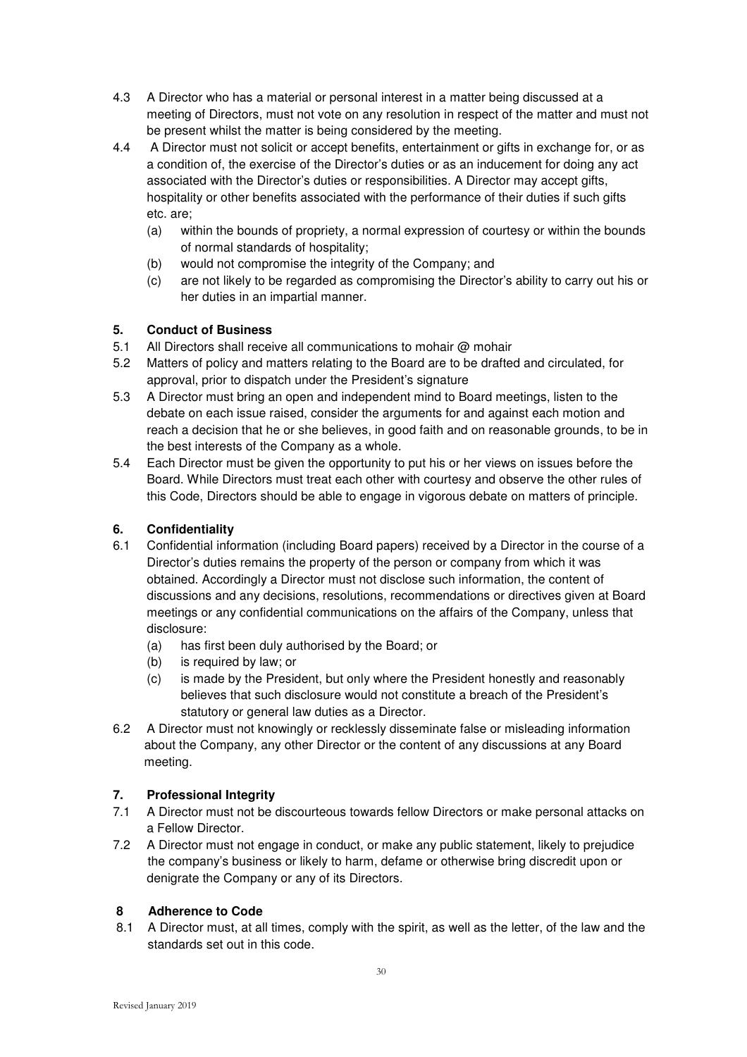- 4.3 A Director who has a material or personal interest in a matter being discussed at a meeting of Directors, must not vote on any resolution in respect of the matter and must not be present whilst the matter is being considered by the meeting.
- 4.4 A Director must not solicit or accept benefits, entertainment or gifts in exchange for, or as a condition of, the exercise of the Director's duties or as an inducement for doing any act associated with the Director's duties or responsibilities. A Director may accept gifts, hospitality or other benefits associated with the performance of their duties if such gifts etc. are;
	- (a) within the bounds of propriety, a normal expression of courtesy or within the bounds of normal standards of hospitality;
	- (b) would not compromise the integrity of the Company; and
	- (c) are not likely to be regarded as compromising the Director's ability to carry out his or her duties in an impartial manner.

### **5. Conduct of Business**

- 5.1 All Directors shall receive all communications to mohair @ mohair
- 5.2 Matters of policy and matters relating to the Board are to be drafted and circulated, for approval, prior to dispatch under the President's signature
- 5.3 A Director must bring an open and independent mind to Board meetings, listen to the debate on each issue raised, consider the arguments for and against each motion and reach a decision that he or she believes, in good faith and on reasonable grounds, to be in the best interests of the Company as a whole.
- 5.4 Each Director must be given the opportunity to put his or her views on issues before the Board. While Directors must treat each other with courtesy and observe the other rules of this Code, Directors should be able to engage in vigorous debate on matters of principle.

### **6. Confidentiality**

- 6.1 Confidential information (including Board papers) received by a Director in the course of a Director's duties remains the property of the person or company from which it was obtained. Accordingly a Director must not disclose such information, the content of discussions and any decisions, resolutions, recommendations or directives given at Board meetings or any confidential communications on the affairs of the Company, unless that disclosure:
	- (a) has first been duly authorised by the Board; or
	- (b) is required by law; or
	- (c) is made by the President, but only where the President honestly and reasonably believes that such disclosure would not constitute a breach of the President's statutory or general law duties as a Director.
- 6.2 A Director must not knowingly or recklessly disseminate false or misleading information about the Company, any other Director or the content of any discussions at any Board meeting.

### **7. Professional Integrity**

- 7.1 A Director must not be discourteous towards fellow Directors or make personal attacks on a Fellow Director.
- 7.2 A Director must not engage in conduct, or make any public statement, likely to prejudice the company's business or likely to harm, defame or otherwise bring discredit upon or denigrate the Company or any of its Directors.

### **8 Adherence to Code**

 8.1 A Director must, at all times, comply with the spirit, as well as the letter, of the law and the standards set out in this code.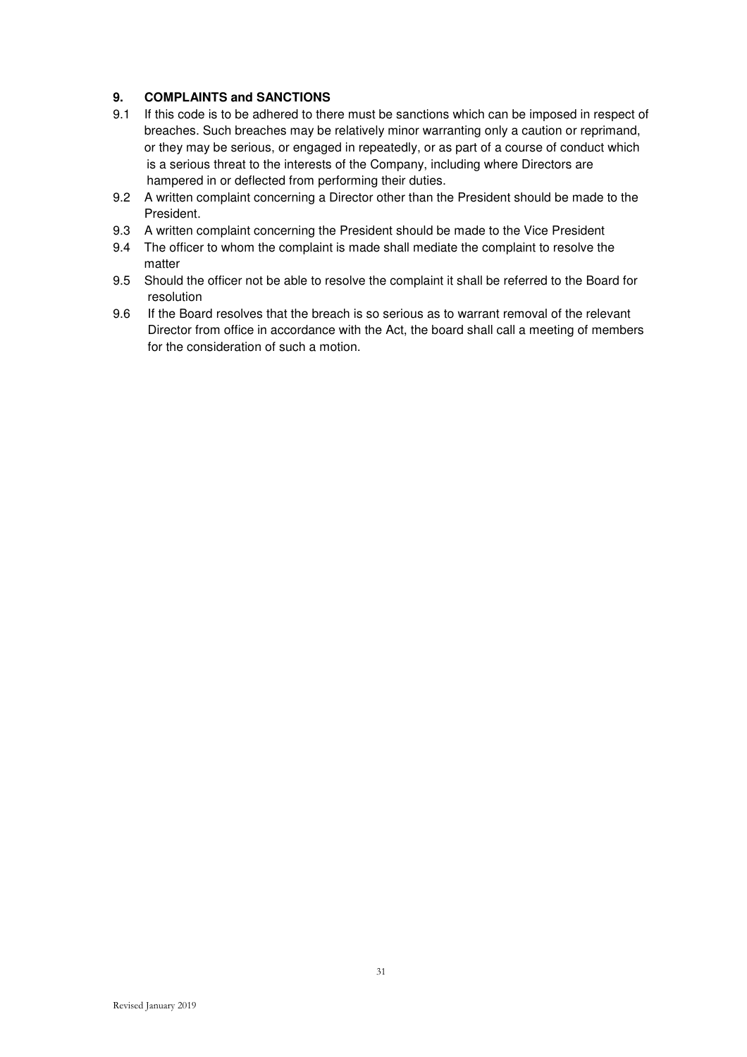### **9. COMPLAINTS and SANCTIONS**

- 9.1 If this code is to be adhered to there must be sanctions which can be imposed in respect of breaches. Such breaches may be relatively minor warranting only a caution or reprimand, or they may be serious, or engaged in repeatedly, or as part of a course of conduct which is a serious threat to the interests of the Company, including where Directors are hampered in or deflected from performing their duties.
- 9.2 A written complaint concerning a Director other than the President should be made to the President.
- 9.3 A written complaint concerning the President should be made to the Vice President
- 9.4 The officer to whom the complaint is made shall mediate the complaint to resolve the matter
- 9.5 Should the officer not be able to resolve the complaint it shall be referred to the Board for resolution
- 9.6 If the Board resolves that the breach is so serious as to warrant removal of the relevant Director from office in accordance with the Act, the board shall call a meeting of members for the consideration of such a motion.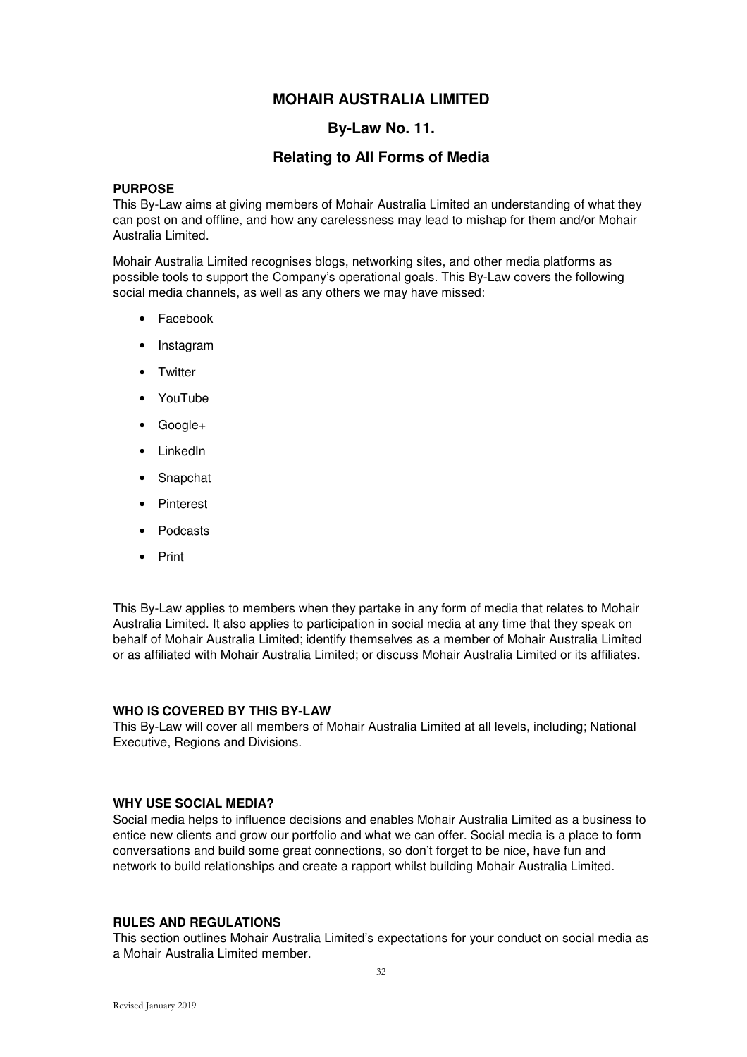### **By-Law No. 11.**

### **Relating to All Forms of Media**

### **PURPOSE**

This By-Law aims at giving members of Mohair Australia Limited an understanding of what they can post on and offline, and how any carelessness may lead to mishap for them and/or Mohair Australia Limited.

Mohair Australia Limited recognises blogs, networking sites, and other media platforms as possible tools to support the Company's operational goals. This By-Law covers the following social media channels, as well as any others we may have missed:

- Facebook
- Instagram
- Twitter
- YouTube
- Google+
- LinkedIn
- Snapchat
- Pinterest
- Podcasts
- Print

This By-Law applies to members when they partake in any form of media that relates to Mohair Australia Limited. It also applies to participation in social media at any time that they speak on behalf of Mohair Australia Limited; identify themselves as a member of Mohair Australia Limited or as affiliated with Mohair Australia Limited; or discuss Mohair Australia Limited or its affiliates.

#### **WHO IS COVERED BY THIS BY-LAW**

This By-Law will cover all members of Mohair Australia Limited at all levels, including; National Executive, Regions and Divisions.

#### **WHY USE SOCIAL MEDIA?**

Social media helps to influence decisions and enables Mohair Australia Limited as a business to entice new clients and grow our portfolio and what we can offer. Social media is a place to form conversations and build some great connections, so don't forget to be nice, have fun and network to build relationships and create a rapport whilst building Mohair Australia Limited.

#### **RULES AND REGULATIONS**

This section outlines Mohair Australia Limited's expectations for your conduct on social media as a Mohair Australia Limited member.